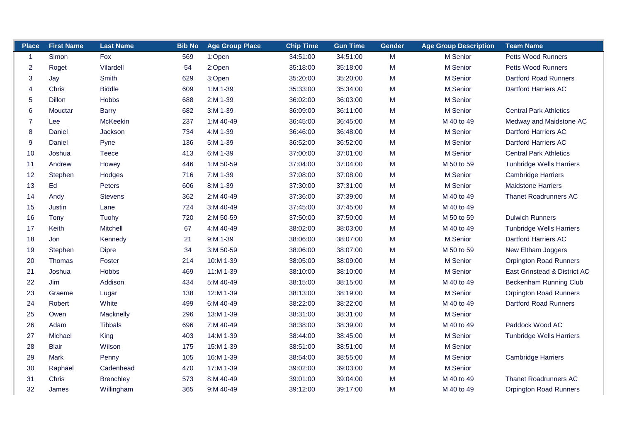| <b>Place</b>     | <b>First Name</b> | <b>Last Name</b> | <b>Bib No</b> | <b>Age Group Place</b> | <b>Chip Time</b> | <b>Gun Time</b> | <b>Gender</b> | <b>Age Group Description</b> | <b>Team Name</b>                |
|------------------|-------------------|------------------|---------------|------------------------|------------------|-----------------|---------------|------------------------------|---------------------------------|
| $\mathbf{1}$     | Simon             | Fox              | 569           | 1:Open                 | 34:51:00         | 34:51:00        | M             | M Senior                     | <b>Petts Wood Runners</b>       |
| $\overline{2}$   | Roget             | Vilardell        | 54            | 2:Open                 | 35:18:00         | 35:18:00        | M             | M Senior                     | Petts Wood Runners              |
| 3                | Jay               | Smith            | 629           | 3:Open                 | 35:20:00         | 35:20:00        | M             | M Senior                     | <b>Dartford Road Runners</b>    |
| 4                | Chris             | <b>Biddle</b>    | 609           | $1: M 1-39$            | 35:33:00         | 35:34:00        | M             | M Senior                     | Dartford Harriers AC            |
| 5                | <b>Dillon</b>     | <b>Hobbs</b>     | 688           | 2:M 1-39               | 36:02:00         | 36:03:00        | M             | M Senior                     |                                 |
| 6                | Mouctar           | <b>Barry</b>     | 682           | 3:M 1-39               | 36:09:00         | 36:11:00        | M             | M Senior                     | <b>Central Park Athletics</b>   |
| $\overline{7}$   | Lee               | McKeekin         | 237           | 1:M 40-49              | 36:45:00         | 36:45:00        | M             | M 40 to 49                   | Medway and Maidstone AC         |
| $\bf 8$          | Daniel            | Jackson          | 734           | 4:M 1-39               | 36:46:00         | 36:48:00        | M             | M Senior                     | Dartford Harriers AC            |
| $\boldsymbol{9}$ | Daniel            | Pyne             | 136           | 5:M 1-39               | 36:52:00         | 36:52:00        | M             | M Senior                     | Dartford Harriers AC            |
| 10               | Joshua            | Teece            | 413           | 6:M 1-39               | 37:00:00         | 37:01:00        | M             | M Senior                     | <b>Central Park Athletics</b>   |
| 11               | Andrew            | Howey            | 446           | 1:M 50-59              | 37:04:00         | 37:04:00        | M             | M 50 to 59                   | <b>Tunbridge Wells Harriers</b> |
| 12               | Stephen           | Hodges           | 716           | 7:M 1-39               | 37:08:00         | 37:08:00        | M             | M Senior                     | <b>Cambridge Harriers</b>       |
| 13               | Ed                | Peters           | 606           | 8:M 1-39               | 37:30:00         | 37:31:00        | M             | M Senior                     | <b>Maidstone Harriers</b>       |
| 14               | Andy              | <b>Stevens</b>   | 362           | 2:M 40-49              | 37:36:00         | 37:39:00        | M             | M 40 to 49                   | <b>Thanet Roadrunners AC</b>    |
| 15               | Justin            | Lane             | 724           | 3:M 40-49              | 37:45:00         | 37:45:00        | M             | M 40 to 49                   |                                 |
| 16               | Tony              | Tuohy            | 720           | 2:M 50-59              | 37:50:00         | 37:50:00        | M             | M 50 to 59                   | <b>Dulwich Runners</b>          |
| 17               | Keith             | Mitchell         | 67            | 4:M 40-49              | 38:02:00         | 38:03:00        | M             | M 40 to 49                   | <b>Tunbridge Wells Harriers</b> |
| 18               | Jon               | Kennedy          | 21            | 9:M 1-39               | 38:06:00         | 38:07:00        | M             | M Senior                     | Dartford Harriers AC            |
| 19               | Stephen           | <b>Dipre</b>     | 34            | 3:M 50-59              | 38:06:00         | 38:07:00        | M             | M 50 to 59                   | New Eltham Joggers              |
| 20               | <b>Thomas</b>     | Foster           | 214           | 10:M 1-39              | 38:05:00         | 38:09:00        | M             | M Senior                     | <b>Orpington Road Runners</b>   |
| 21               | Joshua            | <b>Hobbs</b>     | 469           | 11:M 1-39              | 38:10:00         | 38:10:00        | M             | M Senior                     | East Grinstead & District AC    |
| 22               | Jim               | Addison          | 434           | 5:M 40-49              | 38:15:00         | 38:15:00        | M             | M 40 to 49                   | Beckenham Running Club          |
| 23               | Graeme            | Lugar            | 138           | 12:M 1-39              | 38:13:00         | 38:19:00        | M             | M Senior                     | <b>Orpington Road Runners</b>   |
| 24               | Robert            | White            | 499           | 6:M 40-49              | 38:22:00         | 38:22:00        | M             | M 40 to 49                   | <b>Dartford Road Runners</b>    |
| 25               | Owen              | Macknelly        | 296           | 13:M 1-39              | 38:31:00         | 38:31:00        | M             | M Senior                     |                                 |
| 26               | Adam              | <b>Tibbals</b>   | 696           | 7:M 40-49              | 38:38:00         | 38:39:00        | M             | M 40 to 49                   | Paddock Wood AC                 |
| 27               | Michael           | King             | 403           | 14:M 1-39              | 38:44:00         | 38:45:00        | M             | M Senior                     | <b>Tunbridge Wells Harriers</b> |
| 28               | <b>Blair</b>      | Wilson           | 175           | 15:M 1-39              | 38:51:00         | 38:51:00        | M             | M Senior                     |                                 |
| 29               | <b>Mark</b>       | Penny            | 105           | 16:M 1-39              | 38:54:00         | 38:55:00        | M             | M Senior                     | <b>Cambridge Harriers</b>       |
| 30               | Raphael           | Cadenhead        | 470           | 17:M 1-39              | 39:02:00         | 39:03:00        | M             | M Senior                     |                                 |
| 31               | Chris             | <b>Brenchley</b> | 573           | 8:M 40-49              | 39:01:00         | 39:04:00        | M             | M 40 to 49                   | <b>Thanet Roadrunners AC</b>    |
| 32               | James             | Willingham       | 365           | 9:M 40-49              | 39:12:00         | 39:17:00        | M             | M 40 to 49                   | <b>Orpington Road Runners</b>   |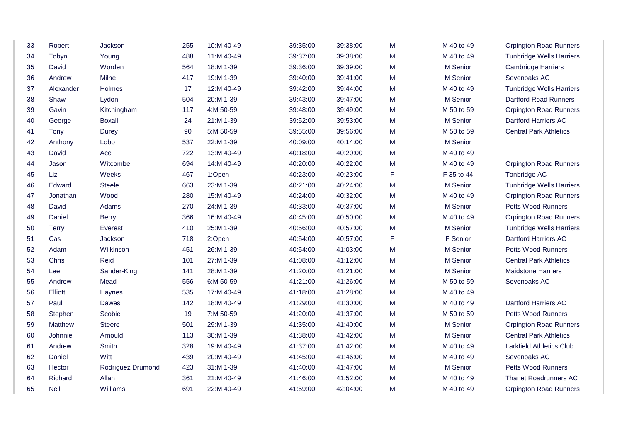| 33 | Robert         | Jackson           | 255 | 10:M 40-49 | 39:35:00 | 39:38:00 | M | M 40 to 49      | <b>Orpington Road Runners</b>   |
|----|----------------|-------------------|-----|------------|----------|----------|---|-----------------|---------------------------------|
| 34 | Tobyn          | Young             | 488 | 11:M 40-49 | 39:37:00 | 39:38:00 | M | M 40 to 49      | <b>Tunbridge Wells Harriers</b> |
| 35 | David          | Worden            | 564 | 18:M 1-39  | 39:36:00 | 39:39:00 | M | M Senior        | <b>Cambridge Harriers</b>       |
| 36 | Andrew         | Milne             | 417 | 19:M 1-39  | 39:40:00 | 39:41:00 | M | M Senior        | Sevenoaks AC                    |
| 37 | Alexander      | Holmes            | 17  | 12:M 40-49 | 39:42:00 | 39:44:00 | M | M 40 to 49      | <b>Tunbridge Wells Harriers</b> |
| 38 | Shaw           | Lydon             | 504 | 20:M 1-39  | 39:43:00 | 39:47:00 | M | M Senior        | <b>Dartford Road Runners</b>    |
| 39 | Gavin          | Kitchingham       | 117 | 4:M 50-59  | 39:48:00 | 39:49:00 | M | M 50 to 59      | <b>Orpington Road Runners</b>   |
| 40 | George         | <b>Boxall</b>     | 24  | 21:M 1-39  | 39:52:00 | 39:53:00 | M | M Senior        | Dartford Harriers AC            |
| 41 | Tony           | Durey             | 90  | 5:M 50-59  | 39:55:00 | 39:56:00 | M | M 50 to 59      | <b>Central Park Athletics</b>   |
| 42 | Anthony        | Lobo              | 537 | 22:M 1-39  | 40:09:00 | 40:14:00 | M | M Senior        |                                 |
| 43 | David          | Ace               | 722 | 13:M 40-49 | 40:18:00 | 40:20:00 | M | M 40 to 49      |                                 |
| 44 | Jason          | Witcombe          | 694 | 14:M 40-49 | 40:20:00 | 40:22:00 | M | M 40 to 49      | <b>Orpington Road Runners</b>   |
| 45 | Liz            | Weeks             | 467 | 1:Open     | 40:23:00 | 40:23:00 | F | F 35 to 44      | Tonbridge AC                    |
| 46 | Edward         | <b>Steele</b>     | 663 | 23:M 1-39  | 40:21:00 | 40:24:00 | M | M Senior        | <b>Tunbridge Wells Harriers</b> |
| 47 | Jonathan       | Wood              | 280 | 15:M 40-49 | 40:24:00 | 40:32:00 | M | M 40 to 49      | <b>Orpington Road Runners</b>   |
| 48 | David          | Adams             | 270 | 24:M 1-39  | 40:33:00 | 40:37:00 | M | M Senior        | <b>Petts Wood Runners</b>       |
| 49 | Daniel         | <b>Berry</b>      | 366 | 16:M 40-49 | 40:45:00 | 40:50:00 | M | M 40 to 49      | <b>Orpington Road Runners</b>   |
| 50 | <b>Terry</b>   | Everest           | 410 | 25:M 1-39  | 40:56:00 | 40:57:00 | M | M Senior        | <b>Tunbridge Wells Harriers</b> |
| 51 | Cas            | Jackson           | 718 | 2:Open     | 40:54:00 | 40:57:00 | F | F Senior        | <b>Dartford Harriers AC</b>     |
| 52 | Adam           | Wilkinson         | 451 | 26:M 1-39  | 40:54:00 | 41:03:00 | M | <b>M</b> Senior | <b>Petts Wood Runners</b>       |
| 53 | Chris          | Reid              | 101 | 27:M 1-39  | 41:08:00 | 41:12:00 | M | M Senior        | <b>Central Park Athletics</b>   |
| 54 | Lee            | Sander-King       | 141 | 28:M 1-39  | 41:20:00 | 41:21:00 | M | M Senior        | <b>Maidstone Harriers</b>       |
| 55 | Andrew         | Mead              | 556 | 6:M 50-59  | 41:21:00 | 41:26:00 | M | M 50 to 59      | Sevenoaks AC                    |
| 56 | Elliott        | Haynes            | 535 | 17:M 40-49 | 41:18:00 | 41:28:00 | M | M 40 to 49      |                                 |
| 57 | Paul           | <b>Dawes</b>      | 142 | 18:M 40-49 | 41:29:00 | 41:30:00 | M | M 40 to 49      | <b>Dartford Harriers AC</b>     |
| 58 | Stephen        | Scobie            | 19  | 7:M 50-59  | 41:20:00 | 41:37:00 | M | M 50 to 59      | <b>Petts Wood Runners</b>       |
| 59 | <b>Matthew</b> | <b>Steere</b>     | 501 | 29:M 1-39  | 41:35:00 | 41:40:00 | M | M Senior        | <b>Orpington Road Runners</b>   |
| 60 | Johnnie        | Arnould           | 113 | 30:M 1-39  | 41:38:00 | 41:42:00 | M | M Senior        | <b>Central Park Athletics</b>   |
| 61 | Andrew         | Smith             | 328 | 19:M 40-49 | 41:37:00 | 41:42:00 | M | M 40 to 49      | <b>Larkfield Athletics Club</b> |
| 62 | Daniel         | Witt              | 439 | 20:M 40-49 | 41:45:00 | 41:46:00 | M | M 40 to 49      | Sevenoaks AC                    |
| 63 | Hector         | Rodriguez Drumond | 423 | 31:M 1-39  | 41:40:00 | 41:47:00 | M | M Senior        | Petts Wood Runners              |
| 64 | Richard        | Allan             | 361 | 21:M 40-49 | 41:46:00 | 41:52:00 | M | M 40 to 49      | <b>Thanet Roadrunners AC</b>    |
| 65 | Neil           | Williams          | 691 | 22:M 40-49 | 41:59:00 | 42:04:00 | M | M 40 to 49      | <b>Orpington Road Runners</b>   |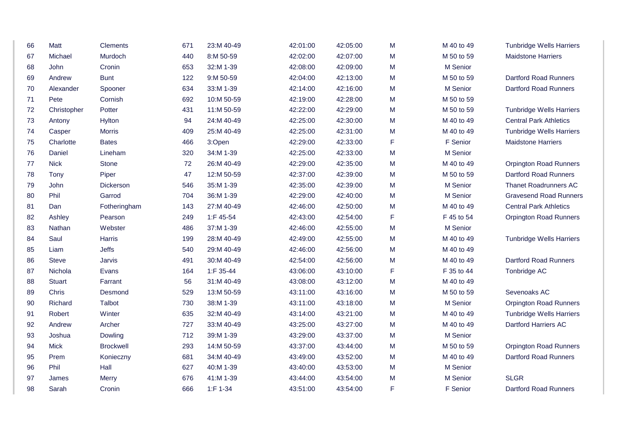| 66 | Matt          | <b>Clements</b>  | 671 | 23:M 40-49    | 42:01:00 | 42:05:00 | M | M 40 to 49 | <b>Tunbridge Wells Harriers</b> |
|----|---------------|------------------|-----|---------------|----------|----------|---|------------|---------------------------------|
| 67 | Michael       | Murdoch          | 440 | 8:M 50-59     | 42:02:00 | 42:07:00 | M | M 50 to 59 | <b>Maidstone Harriers</b>       |
| 68 | John          | Cronin           | 653 | 32:M 1-39     | 42:08:00 | 42:09:00 | M | M Senior   |                                 |
| 69 | Andrew        | <b>Bunt</b>      | 122 | 9:M 50-59     | 42:04:00 | 42:13:00 | M | M 50 to 59 | <b>Dartford Road Runners</b>    |
| 70 | Alexander     | Spooner          | 634 | 33:M 1-39     | 42:14:00 | 42:16:00 | M | M Senior   | <b>Dartford Road Runners</b>    |
| 71 | Pete          | Cornish          | 692 | 10:M 50-59    | 42:19:00 | 42:28:00 | M | M 50 to 59 |                                 |
| 72 | Christopher   | Potter           | 431 | 11:M 50-59    | 42:22:00 | 42:29:00 | M | M 50 to 59 | <b>Tunbridge Wells Harriers</b> |
| 73 | Antony        | Hylton           | 94  | 24:M 40-49    | 42:25:00 | 42:30:00 | M | M 40 to 49 | <b>Central Park Athletics</b>   |
| 74 | Casper        | <b>Morris</b>    | 409 | 25:M 40-49    | 42:25:00 | 42:31:00 | М | M 40 to 49 | <b>Tunbridge Wells Harriers</b> |
| 75 | Charlotte     | <b>Bates</b>     | 466 | 3:Open        | 42:29:00 | 42:33:00 | F | F Senior   | <b>Maidstone Harriers</b>       |
| 76 | Daniel        | Lineham          | 320 | 34:M 1-39     | 42:25:00 | 42:33:00 | M | M Senior   |                                 |
| 77 | <b>Nick</b>   | <b>Stone</b>     | 72  | 26:M 40-49    | 42:29:00 | 42:35:00 | M | M 40 to 49 | <b>Orpington Road Runners</b>   |
| 78 | Tony          | Piper            | 47  | 12:M 50-59    | 42:37:00 | 42:39:00 | М | M 50 to 59 | <b>Dartford Road Runners</b>    |
| 79 | John          | Dickerson        | 546 | 35:M 1-39     | 42:35:00 | 42:39:00 | M | M Senior   | <b>Thanet Roadrunners AC</b>    |
| 80 | Phil          | Garrod           | 704 | 36:M 1-39     | 42:29:00 | 42:40:00 | M | M Senior   | <b>Gravesend Road Runners</b>   |
| 81 | Dan           | Fotheringham     | 143 | 27:M 40-49    | 42:46:00 | 42:50:00 | M | M 40 to 49 | <b>Central Park Athletics</b>   |
| 82 | Ashley        | Pearson          | 249 | 1:F 45-54     | 42:43:00 | 42:54:00 | F | F 45 to 54 | <b>Orpington Road Runners</b>   |
| 83 | <b>Nathan</b> | Webster          | 486 | 37:M 1-39     | 42:46:00 | 42:55:00 | M | M Senior   |                                 |
| 84 | Saul          | Harris           | 199 | 28:M 40-49    | 42:49:00 | 42:55:00 | M | M 40 to 49 | <b>Tunbridge Wells Harriers</b> |
| 85 | Liam          | Jeffs            | 540 | 29:M 40-49    | 42:46:00 | 42:56:00 | M | M 40 to 49 |                                 |
| 86 | <b>Steve</b>  | Jarvis           | 491 | 30:M 40-49    | 42:54:00 | 42:56:00 | М | M 40 to 49 | <b>Dartford Road Runners</b>    |
| 87 | Nichola       | Evans            | 164 | 1:F 35-44     | 43:06:00 | 43:10:00 | F | F 35 to 44 | Tonbridge AC                    |
| 88 | <b>Stuart</b> | Farrant          | 56  | 31:M 40-49    | 43:08:00 | 43:12:00 | M | M 40 to 49 |                                 |
| 89 | Chris         | Desmond          | 529 | 13:M 50-59    | 43:11:00 | 43:16:00 | M | M 50 to 59 | Sevenoaks AC                    |
| 90 | Richard       | Talbot           | 730 | 38:M 1-39     | 43:11:00 | 43:18:00 | M | M Senior   | <b>Orpington Road Runners</b>   |
| 91 | Robert        | Winter           | 635 | 32:M 40-49    | 43:14:00 | 43:21:00 | M | M 40 to 49 | <b>Tunbridge Wells Harriers</b> |
| 92 | Andrew        | Archer           | 727 | 33:M 40-49    | 43:25:00 | 43:27:00 | M | M 40 to 49 | <b>Dartford Harriers AC</b>     |
| 93 | Joshua        | Dowling          | 712 | 39:M 1-39     | 43:29:00 | 43:37:00 | M | M Senior   |                                 |
| 94 | <b>Mick</b>   | <b>Brockwell</b> | 293 | 14:M 50-59    | 43:37:00 | 43:44:00 | M | M 50 to 59 | <b>Orpington Road Runners</b>   |
| 95 | Prem          | Konieczny        | 681 | 34:M 40-49    | 43:49:00 | 43:52:00 | M | M 40 to 49 | <b>Dartford Road Runners</b>    |
| 96 | Phil          | Hall             | 627 | 40:M 1-39     | 43:40:00 | 43:53:00 | M | M Senior   |                                 |
| 97 | James         | Merry            | 676 | 41:M 1-39     | 43:44:00 | 43:54:00 | M | M Senior   | <b>SLGR</b>                     |
| 98 | Sarah         | Cronin           | 666 | $1: F 1 - 34$ | 43:51:00 | 43:54:00 | F | F Senior   | <b>Dartford Road Runners</b>    |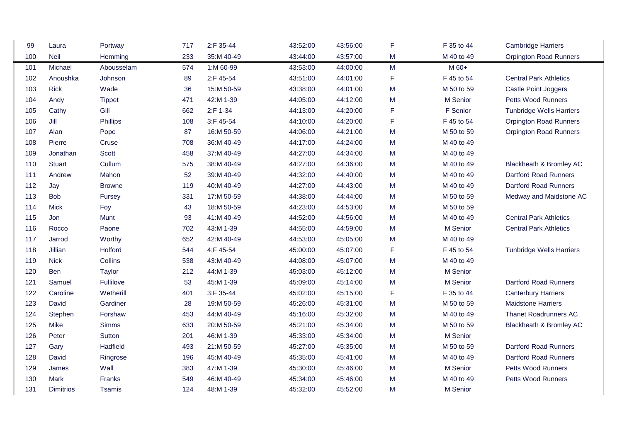| 99  | Laura            | Portway       | 717 | 2:F 35-44  | 43:52:00 | 43:56:00 | F | F 35 to 44 | <b>Cambridge Harriers</b>       |
|-----|------------------|---------------|-----|------------|----------|----------|---|------------|---------------------------------|
| 100 | <b>Neil</b>      | Hemming       | 233 | 35:M 40-49 | 43:44:00 | 43:57:00 | М | M 40 to 49 | <b>Orpington Road Runners</b>   |
| 101 | Michael          | Abousselam    | 574 | 1:M 60-99  | 43:53:00 | 44:00:00 | M | M 60+      |                                 |
| 102 | Anoushka         | Johnson       | 89  | 2:F 45-54  | 43:51:00 | 44:01:00 | F | F 45 to 54 | <b>Central Park Athletics</b>   |
| 103 | <b>Rick</b>      | Wade          | 36  | 15:M 50-59 | 43:38:00 | 44:01:00 | M | M 50 to 59 | Castle Point Joggers            |
| 104 | Andy             | <b>Tippet</b> | 471 | 42:M 1-39  | 44:05:00 | 44:12:00 | M | M Senior   | <b>Petts Wood Runners</b>       |
| 105 | Cathy            | Gill          | 662 | 2:F 1-34   | 44:13:00 | 44:20:00 | F | F Senior   | <b>Tunbridge Wells Harriers</b> |
| 106 | Jill             | Phillips      | 108 | 3:F 45-54  | 44:10:00 | 44:20:00 | F | F 45 to 54 | <b>Orpington Road Runners</b>   |
| 107 | Alan             | Pope          | 87  | 16:M 50-59 | 44:06:00 | 44:21:00 | M | M 50 to 59 | <b>Orpington Road Runners</b>   |
| 108 | Pierre           | Cruse         | 708 | 36:M 40-49 | 44:17:00 | 44:24:00 | M | M 40 to 49 |                                 |
| 109 | Jonathan         | Scott         | 458 | 37:M 40-49 | 44:27:00 | 44:34:00 | M | M 40 to 49 |                                 |
| 110 | <b>Stuart</b>    | Cullum        | 575 | 38:M 40-49 | 44:27:00 | 44:36:00 | M | M 40 to 49 | Blackheath & Bromley AC         |
| 111 | Andrew           | Mahon         | 52  | 39:M 40-49 | 44:32:00 | 44:40:00 | M | M 40 to 49 | <b>Dartford Road Runners</b>    |
| 112 | Jay              | <b>Browne</b> | 119 | 40:M 40-49 | 44:27:00 | 44:43:00 | M | M 40 to 49 | <b>Dartford Road Runners</b>    |
| 113 | <b>Bob</b>       | Fursey        | 331 | 17:M 50-59 | 44:38:00 | 44:44:00 | M | M 50 to 59 | Medway and Maidstone AC         |
| 114 | Mick             | Foy           | 43  | 18:M 50-59 | 44:23:00 | 44:53:00 | M | M 50 to 59 |                                 |
| 115 | Jon              | Munt          | 93  | 41:M 40-49 | 44:52:00 | 44:56:00 | M | M 40 to 49 | <b>Central Park Athletics</b>   |
| 116 | Rocco            | Paone         | 702 | 43:M 1-39  | 44:55:00 | 44:59:00 | M | M Senior   | <b>Central Park Athletics</b>   |
| 117 | Jarrod           | Worthy        | 652 | 42:M 40-49 | 44:53:00 | 45:05:00 | M | M 40 to 49 |                                 |
| 118 | Jillian          | Holford       | 544 | 4:F 45-54  | 45:00:00 | 45:07:00 | F | F 45 to 54 | <b>Tunbridge Wells Harriers</b> |
| 119 | <b>Nick</b>      | Collins       | 538 | 43:M 40-49 | 44:08:00 | 45:07:00 | M | M 40 to 49 |                                 |
| 120 | <b>Ben</b>       | Taylor        | 212 | 44:M 1-39  | 45:03:00 | 45:12:00 | M | M Senior   |                                 |
| 121 | Samuel           | Fullilove     | 53  | 45:M 1-39  | 45:09:00 | 45:14:00 | M | M Senior   | <b>Dartford Road Runners</b>    |
| 122 | Caroline         | Wetherill     | 401 | 3:F 35-44  | 45:02:00 | 45:15:00 | F | F 35 to 44 | <b>Canterbury Harriers</b>      |
| 123 | David            | Gardiner      | 28  | 19:M 50-59 | 45:26:00 | 45:31:00 | M | M 50 to 59 | <b>Maidstone Harriers</b>       |
| 124 | Stephen          | Forshaw       | 453 | 44:M 40-49 | 45:16:00 | 45:32:00 | M | M 40 to 49 | <b>Thanet Roadrunners AC</b>    |
| 125 | Mike             | Simms         | 633 | 20:M 50-59 | 45:21:00 | 45:34:00 | M | M 50 to 59 | Blackheath & Bromley AC         |
| 126 | Peter            | Sutton        | 201 | 46:M 1-39  | 45:33:00 | 45:34:00 | M | M Senior   |                                 |
| 127 | Gary             | Hadfield      | 493 | 21:M 50-59 | 45:27:00 | 45:35:00 | M | M 50 to 59 | <b>Dartford Road Runners</b>    |
| 128 | David            | Ringrose      | 196 | 45:M 40-49 | 45:35:00 | 45:41:00 | M | M 40 to 49 | <b>Dartford Road Runners</b>    |
| 129 | James            | Wall          | 383 | 47:M 1-39  | 45:30:00 | 45:46:00 | M | M Senior   | <b>Petts Wood Runners</b>       |
| 130 | Mark             | Franks        | 549 | 46:M 40-49 | 45:34:00 | 45:46:00 | M | M 40 to 49 | <b>Petts Wood Runners</b>       |
| 131 | <b>Dimitrios</b> | <b>Tsamis</b> | 124 | 48:M 1-39  | 45:32:00 | 45:52:00 | M | M Senior   |                                 |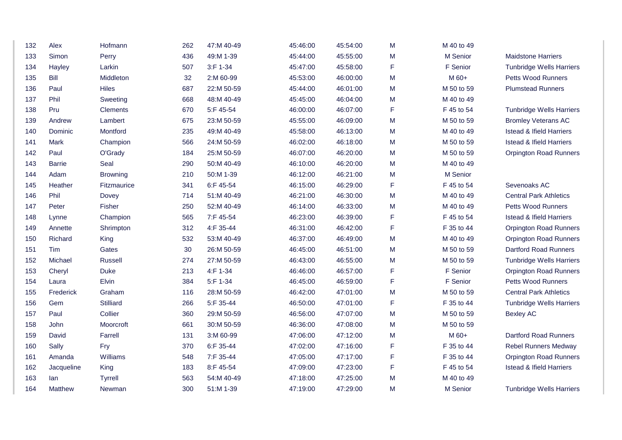| 132 | Alex           | Hofmann            | 262 | 47:M 40-49 | 45:46:00 | 45:54:00 | M | M 40 to 49 |                                     |
|-----|----------------|--------------------|-----|------------|----------|----------|---|------------|-------------------------------------|
| 133 | Simon          | Perry              | 436 | 49:M 1-39  | 45:44:00 | 45:55:00 | M | M Senior   | <b>Maidstone Harriers</b>           |
| 134 | Hayley         | Larkin             | 507 | 3:F 1-34   | 45:47:00 | 45:58:00 | F | F Senior   | <b>Tunbridge Wells Harriers</b>     |
| 135 | Bill           | Middleton          | 32  | 2:M 60-99  | 45:53:00 | 46:00:00 | M | M 60+      | Petts Wood Runners                  |
| 136 | Paul           | <b>Hiles</b>       | 687 | 22:M 50-59 | 45:44:00 | 46:01:00 | M | M 50 to 59 | <b>Plumstead Runners</b>            |
| 137 | Phil           | Sweeting           | 668 | 48:M 40-49 | 45:45:00 | 46:04:00 | M | M 40 to 49 |                                     |
| 138 | Pru            | <b>Clements</b>    | 670 | 5:F 45-54  | 46:00:00 | 46:07:00 | F | F 45 to 54 | <b>Tunbridge Wells Harriers</b>     |
| 139 | Andrew         | Lambert            | 675 | 23:M 50-59 | 45:55:00 | 46:09:00 | M | M 50 to 59 | <b>Bromley Veterans AC</b>          |
| 140 | Dominic        | Montford           | 235 | 49:M 40-49 | 45:58:00 | 46:13:00 | M | M 40 to 49 | <b>Istead &amp; Ifield Harriers</b> |
| 141 | Mark           | Champion           | 566 | 24:M 50-59 | 46:02:00 | 46:18:00 | M | M 50 to 59 | <b>Istead &amp; Ifield Harriers</b> |
| 142 | Paul           | O'Grady            | 184 | 25:M 50-59 | 46:07:00 | 46:20:00 | M | M 50 to 59 | <b>Orpington Road Runners</b>       |
| 143 | <b>Barrie</b>  | Seal               | 290 | 50:M 40-49 | 46:10:00 | 46:20:00 | M | M 40 to 49 |                                     |
| 144 | Adam           | <b>Browning</b>    | 210 | 50:M 1-39  | 46:12:00 | 46:21:00 | M | M Senior   |                                     |
| 145 | Heather        | <b>Fitzmaurice</b> | 341 | 6:F 45-54  | 46:15:00 | 46:29:00 | F | F 45 to 54 | Sevenoaks AC                        |
| 146 | Phil           | Dovey              | 714 | 51:M 40-49 | 46:21:00 | 46:30:00 | M | M 40 to 49 | <b>Central Park Athletics</b>       |
| 147 | Peter          | <b>Fisher</b>      | 250 | 52:M 40-49 | 46:14:00 | 46:33:00 | M | M 40 to 49 | Petts Wood Runners                  |
| 148 | Lynne          | Champion           | 565 | 7:F 45-54  | 46:23:00 | 46:39:00 | F | F 45 to 54 | <b>Istead &amp; Ifield Harriers</b> |
| 149 | Annette        | Shrimpton          | 312 | 4:F 35-44  | 46:31:00 | 46:42:00 | F | F 35 to 44 | <b>Orpington Road Runners</b>       |
| 150 | Richard        | King               | 532 | 53:M 40-49 | 46:37:00 | 46:49:00 | M | M 40 to 49 | <b>Orpington Road Runners</b>       |
| 151 | Tim            | Gates              | 30  | 26:M 50-59 | 46:45:00 | 46:51:00 | M | M 50 to 59 | <b>Dartford Road Runners</b>        |
| 152 | Michael        | Russell            | 274 | 27:M 50-59 | 46:43:00 | 46:55:00 | M | M 50 to 59 | <b>Tunbridge Wells Harriers</b>     |
| 153 | Cheryl         | <b>Duke</b>        | 213 | 4:F 1-34   | 46:46:00 | 46:57:00 | F | F Senior   | <b>Orpington Road Runners</b>       |
| 154 | Laura          | Elvin              | 384 | 5:F 1-34   | 46:45:00 | 46:59:00 | F | F Senior   | Petts Wood Runners                  |
| 155 | Frederick      | Graham             | 116 | 28:M 50-59 | 46:42:00 | 47:01:00 | M | M 50 to 59 | <b>Central Park Athletics</b>       |
| 156 | Gem            | <b>Stilliard</b>   | 266 | 5:F 35-44  | 46:50:00 | 47:01:00 | F | F 35 to 44 | <b>Tunbridge Wells Harriers</b>     |
| 157 | Paul           | Collier            | 360 | 29:M 50-59 | 46:56:00 | 47:07:00 | M | M 50 to 59 | <b>Bexley AC</b>                    |
| 158 | John           | Moorcroft          | 661 | 30:M 50-59 | 46:36:00 | 47:08:00 | M | M 50 to 59 |                                     |
| 159 | David          | Farrell            | 131 | 3:M 60-99  | 47:06:00 | 47:12:00 | м | M 60+      | <b>Dartford Road Runners</b>        |
| 160 | Sally          | Fry                | 370 | 6:F 35-44  | 47:02:00 | 47:16:00 | F | F 35 to 44 | <b>Rebel Runners Medway</b>         |
| 161 | Amanda         | Williams           | 548 | 7:F 35-44  | 47:05:00 | 47:17:00 | F | F 35 to 44 | <b>Orpington Road Runners</b>       |
| 162 | Jacqueline     | King               | 183 | 8:F 45-54  | 47:09:00 | 47:23:00 | F | F 45 to 54 | <b>Istead &amp; Ifield Harriers</b> |
| 163 | lan            | <b>Tyrrell</b>     | 563 | 54:M 40-49 | 47:18:00 | 47:25:00 | M | M 40 to 49 |                                     |
| 164 | <b>Matthew</b> | Newman             | 300 | 51:M 1-39  | 47:19:00 | 47:29:00 | M | M Senior   | <b>Tunbridge Wells Harriers</b>     |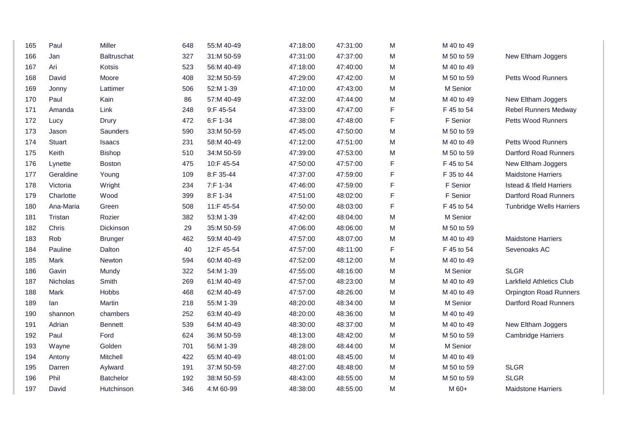| 165 | Paul            | Miller           | 648 | 55:M 40-49 | 47:18:00 | 47:31:00 | M | M 40 to 49 |                                     |
|-----|-----------------|------------------|-----|------------|----------|----------|---|------------|-------------------------------------|
| 166 | Jan             | Baltruschat      | 327 | 31:M 50-59 | 47:31:00 | 47:37:00 | M | M 50 to 59 | New Eltham Joggers                  |
| 167 | Ari             | Kotsis           | 523 | 56:M 40-49 | 47:18:00 | 47:40:00 | M | M 40 to 49 |                                     |
| 168 | David           | Moore            | 408 | 32:M 50-59 | 47:29:00 | 47:42:00 | M | M 50 to 59 | <b>Petts Wood Runners</b>           |
| 169 | Jonny           | Lattimer         | 506 | 52:M 1-39  | 47:10:00 | 47:43:00 | M | M Senior   |                                     |
| 170 | Paul            | Kain             | 86  | 57:M 40-49 | 47:32:00 | 47:44:00 | M | M 40 to 49 | New Eltham Joggers                  |
| 171 | Amanda          | Link             | 248 | 9:F 45-54  | 47:33:00 | 47:47:00 | F | F 45 to 54 | <b>Rebel Runners Medway</b>         |
| 172 | Lucy            | <b>Drury</b>     | 472 | 6:F 1-34   | 47:38:00 | 47:48:00 | F | F Senior   | <b>Petts Wood Runners</b>           |
| 173 | Jason           | Saunders         | 590 | 33:M 50-59 | 47:45:00 | 47:50:00 | M | M 50 to 59 |                                     |
| 174 | <b>Stuart</b>   | <b>Isaacs</b>    | 231 | 58:M 40-49 | 47:12:00 | 47:51:00 | M | M 40 to 49 | <b>Petts Wood Runners</b>           |
| 175 | Keith           | <b>Bishop</b>    | 510 | 34:M 50-59 | 47:39:00 | 47:53:00 | M | M 50 to 59 | <b>Dartford Road Runners</b>        |
| 176 | Lynette         | <b>Boston</b>    | 475 | 10:F 45-54 | 47:50:00 | 47:57:00 | F | F 45 to 54 | New Eltham Joggers                  |
| 177 | Geraldine       | Young            | 109 | 8:F 35-44  | 47:37:00 | 47:59:00 | F | F 35 to 44 | <b>Maidstone Harriers</b>           |
| 178 | Victoria        | Wright           | 234 | 7:F 1-34   | 47:46:00 | 47:59:00 | F | F Senior   | <b>Istead &amp; Ifield Harriers</b> |
| 179 | Charlotte       | Wood             | 399 | 8:F 1-34   | 47:51:00 | 48:02:00 | F | F Senior   | Dartford Road Runners               |
| 180 | Ana-Maria       | Green            | 508 | 11:F 45-54 | 47:50:00 | 48:03:00 | F | F 45 to 54 | <b>Tunbridge Wells Harriers</b>     |
| 181 | Tristan         | Rozier           | 382 | 53:M 1-39  | 47:42:00 | 48:04:00 | M | M Senior   |                                     |
| 182 | Chris           | Dickinson        | 29  | 35:M 50-59 | 47:06:00 | 48:06:00 | M | M 50 to 59 |                                     |
| 183 | Rob             | <b>Brunger</b>   | 462 | 59:M 40-49 | 47:57:00 | 48:07:00 | M | M 40 to 49 | <b>Maidstone Harriers</b>           |
| 184 | Pauline         | Dalton           | 40  | 12:F 45-54 | 47:57:00 | 48:11:00 | F | F 45 to 54 | Sevenoaks AC                        |
| 185 | Mark            | Newton           | 594 | 60:M 40-49 | 47:52:00 | 48:12:00 | M | M 40 to 49 |                                     |
| 186 | Gavin           | Mundy            | 322 | 54:M 1-39  | 47:55:00 | 48:16:00 | M | M Senior   | <b>SLGR</b>                         |
| 187 | <b>Nicholas</b> | Smith            | 269 | 61:M 40-49 | 47:57:00 | 48:23:00 | M | M 40 to 49 | <b>Larkfield Athletics Club</b>     |
| 188 | Mark            | <b>Hobbs</b>     | 468 | 62:M 40-49 | 47:57:00 | 48:26:00 | M | M 40 to 49 | <b>Orpington Road Runners</b>       |
| 189 | lan             | Martin           | 218 | 55:M 1-39  | 48:20:00 | 48:34:00 | M | M Senior   | <b>Dartford Road Runners</b>        |
| 190 | shannon         | chambers         | 252 | 63:M 40-49 | 48:20:00 | 48:36:00 | M | M 40 to 49 |                                     |
| 191 | Adrian          | <b>Bennett</b>   | 539 | 64:M 40-49 | 48:30:00 | 48:37:00 | M | M 40 to 49 | New Eltham Joggers                  |
| 192 | Paul            | Ford             | 624 | 36:M 50-59 | 48:13:00 | 48:42:00 | M | M 50 to 59 | <b>Cambridge Harriers</b>           |
| 193 | Wayne           | Golden           | 701 | 56:M 1-39  | 48:28:00 | 48:44:00 | M | M Senior   |                                     |
| 194 | Antony          | Mitchell         | 422 | 65:M 40-49 | 48:01:00 | 48:45:00 | M | M 40 to 49 |                                     |
| 195 | Darren          | Aylward          | 191 | 37:M 50-59 | 48:27:00 | 48:48:00 | м | M 50 to 59 | <b>SLGR</b>                         |
| 196 | Phil            | <b>Batchelor</b> | 192 | 38:M 50-59 | 48:43:00 | 48:55:00 | M | M 50 to 59 | <b>SLGR</b>                         |
| 197 | David           | Hutchinson       | 346 | 4:M 60-99  | 48:38:00 | 48:55:00 | M | M 60+      | <b>Maidstone Harriers</b>           |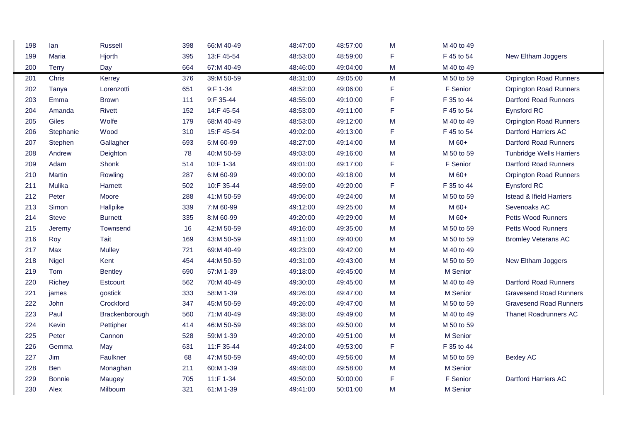| 198 | lan           | <b>Russell</b> | 398 | 66:M 40-49 | 48:47:00 | 48:57:00 | M           | M 40 to 49 |                                     |  |
|-----|---------------|----------------|-----|------------|----------|----------|-------------|------------|-------------------------------------|--|
| 199 | Maria         | Hjorth         | 395 | 13:F 45-54 | 48:53:00 | 48:59:00 | F           | F 45 to 54 | New Eltham Joggers                  |  |
| 200 | <b>Terry</b>  | Day            | 664 | 67:M 40-49 | 48:46:00 | 49:04:00 | M           | M 40 to 49 |                                     |  |
| 201 | Chris         | Kerrey         | 376 | 39:M 50-59 | 48:31:00 | 49:05:00 | M           | M 50 to 59 | <b>Orpington Road Runners</b>       |  |
| 202 | Tanya         | Lorenzotti     | 651 | 9:F 1-34   | 48:52:00 | 49:06:00 | $\mathsf F$ | F Senior   | <b>Orpington Road Runners</b>       |  |
| 203 | Emma          | <b>Brown</b>   | 111 | 9:F 35-44  | 48:55:00 | 49:10:00 | F           | F 35 to 44 | <b>Dartford Road Runners</b>        |  |
| 204 | Amanda        | <b>Rivett</b>  | 152 | 14:F 45-54 | 48:53:00 | 49:11:00 | F           | F 45 to 54 | Eynsford RC                         |  |
| 205 | Giles         | Wolfe          | 179 | 68:M 40-49 | 48:53:00 | 49:12:00 | M           | M 40 to 49 | <b>Orpington Road Runners</b>       |  |
| 206 | Stephanie     | Wood           | 310 | 15:F 45-54 | 49:02:00 | 49:13:00 | F           | F 45 to 54 | <b>Dartford Harriers AC</b>         |  |
| 207 | Stephen       | Gallagher      | 693 | 5:M 60-99  | 48:27:00 | 49:14:00 | M           | M 60+      | <b>Dartford Road Runners</b>        |  |
| 208 | Andrew        | Deighton       | 78  | 40:M 50-59 | 49:03:00 | 49:16:00 | M           | M 50 to 59 | <b>Tunbridge Wells Harriers</b>     |  |
| 209 | Adam          | Shonk          | 514 | 10:F 1-34  | 49:01:00 | 49:17:00 | F           | F Senior   | <b>Dartford Road Runners</b>        |  |
| 210 | Martin        | Rowling        | 287 | 6:M 60-99  | 49:00:00 | 49:18:00 | M           | M 60+      | <b>Orpington Road Runners</b>       |  |
| 211 | Mulika        | Harnett        | 502 | 10:F 35-44 | 48:59:00 | 49:20:00 | F           | F 35 to 44 | Eynsford RC                         |  |
| 212 | Peter         | Moore          | 288 | 41:M 50-59 | 49:06:00 | 49:24:00 | M           | M 50 to 59 | <b>Istead &amp; Ifield Harriers</b> |  |
| 213 | Simon         | Hallpike       | 339 | 7:M 60-99  | 49:12:00 | 49:25:00 | M           | M 60+      | Sevenoaks AC                        |  |
| 214 | <b>Steve</b>  | <b>Burnett</b> | 335 | 8:M 60-99  | 49:20:00 | 49:29:00 | M           | M 60+      | Petts Wood Runners                  |  |
| 215 | Jeremy        | Townsend       | 16  | 42:M 50-59 | 49:16:00 | 49:35:00 | M           | M 50 to 59 | Petts Wood Runners                  |  |
| 216 | Roy           | Tait           | 169 | 43:M 50-59 | 49:11:00 | 49:40:00 | M           | M 50 to 59 | <b>Bromley Veterans AC</b>          |  |
| 217 | Max           | <b>Mulley</b>  | 721 | 69:M 40-49 | 49:23:00 | 49:42:00 | M           | M 40 to 49 |                                     |  |
| 218 | Nigel         | Kent           | 454 | 44:M 50-59 | 49:31:00 | 49:43:00 | M           | M 50 to 59 | New Eltham Joggers                  |  |
| 219 | Tom           | <b>Bentley</b> | 690 | 57:M 1-39  | 49:18:00 | 49:45:00 | M           | M Senior   |                                     |  |
| 220 | Richey        | Estcourt       | 562 | 70:M 40-49 | 49:30:00 | 49:45:00 | M           | M 40 to 49 | <b>Dartford Road Runners</b>        |  |
| 221 | james         | gostick        | 333 | 58:M 1-39  | 49:26:00 | 49:47:00 | M           | M Senior   | <b>Gravesend Road Runners</b>       |  |
| 222 | John          | Crockford      | 347 | 45:M 50-59 | 49:26:00 | 49:47:00 | M           | M 50 to 59 | <b>Gravesend Road Runners</b>       |  |
| 223 | Paul          | Brackenborough | 560 | 71:M 40-49 | 49:38:00 | 49:49:00 | M           | M 40 to 49 | <b>Thanet Roadrunners AC</b>        |  |
| 224 | Kevin         | Pettipher      | 414 | 46:M 50-59 | 49:38:00 | 49:50:00 | M           | M 50 to 59 |                                     |  |
| 225 | Peter         | Cannon         | 528 | 59:M 1-39  | 49:20:00 | 49:51:00 | M           | M Senior   |                                     |  |
| 226 | Gemma         | May            | 631 | 11:F 35-44 | 49:24:00 | 49:53:00 | F           | F 35 to 44 |                                     |  |
| 227 | Jim           | Faulkner       | 68  | 47:M 50-59 | 49:40:00 | 49:56:00 | M           | M 50 to 59 | <b>Bexley AC</b>                    |  |
| 228 | Ben           | Monaghan       | 211 | 60:M 1-39  | 49:48:00 | 49:58:00 | M           | M Senior   |                                     |  |
| 229 | <b>Bonnie</b> | Maugey         | 705 | 11:F 1-34  | 49:50:00 | 50:00:00 | F           | F Senior   | <b>Dartford Harriers AC</b>         |  |
| 230 | Alex          | Milbourn       | 321 | 61:M 1-39  | 49:41:00 | 50:01:00 | M           | M Senior   |                                     |  |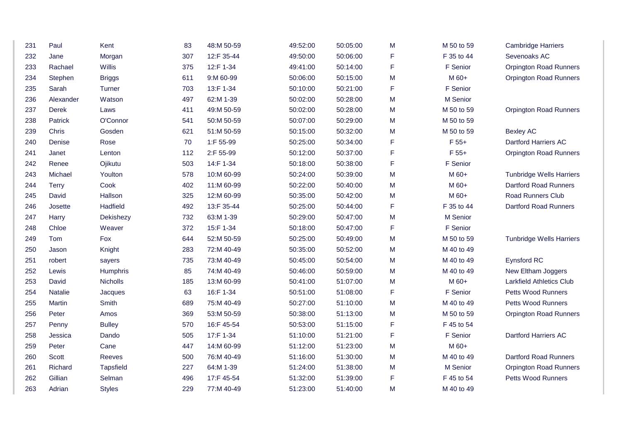| 231 | Paul           | Kent            | 83  | 48:M 50-59 |          |          |   |            |                                 |
|-----|----------------|-----------------|-----|------------|----------|----------|---|------------|---------------------------------|
|     |                |                 |     |            | 49:52:00 | 50:05:00 | М | M 50 to 59 | <b>Cambridge Harriers</b>       |
| 232 | Jane           | Morgan          | 307 | 12:F 35-44 | 49:50:00 | 50:06:00 | F | F 35 to 44 | Sevenoaks AC                    |
| 233 | Rachael        | Willis          | 375 | 12:F 1-34  | 49:41:00 | 50:14:00 | F | F Senior   | <b>Orpington Road Runners</b>   |
| 234 | Stephen        | <b>Briggs</b>   | 611 | 9:M 60-99  | 50:06:00 | 50:15:00 | M | M 60+      | <b>Orpington Road Runners</b>   |
| 235 | Sarah          | <b>Turner</b>   | 703 | 13:F 1-34  | 50:10:00 | 50:21:00 | F | F Senior   |                                 |
| 236 | Alexander      | Watson          | 497 | 62:M 1-39  | 50:02:00 | 50:28:00 | M | M Senior   |                                 |
| 237 | Derek          | Laws            | 411 | 49:M 50-59 | 50:02:00 | 50:28:00 | M | M 50 to 59 | <b>Orpington Road Runners</b>   |
| 238 | Patrick        | O'Connor        | 541 | 50:M 50-59 | 50:07:00 | 50:29:00 | M | M 50 to 59 |                                 |
| 239 | Chris          | Gosden          | 621 | 51:M 50-59 | 50:15:00 | 50:32:00 | М | M 50 to 59 | <b>Bexley AC</b>                |
| 240 | Denise         | Rose            | 70  | 1:F 55-99  | 50:25:00 | 50:34:00 | F | $F 55+$    | <b>Dartford Harriers AC</b>     |
| 241 | Janet          | Lenton          | 112 | 2:F 55-99  | 50:12:00 | 50:37:00 | F | $F 55+$    | <b>Orpington Road Runners</b>   |
| 242 | Renee          | Ojikutu         | 503 | 14:F 1-34  | 50:18:00 | 50:38:00 | F | F Senior   |                                 |
| 243 | Michael        | Youlton         | 578 | 10:M 60-99 | 50:24:00 | 50:39:00 | M | M 60+      | <b>Tunbridge Wells Harriers</b> |
| 244 | <b>Terry</b>   | Cook            | 402 | 11:M 60-99 | 50:22:00 | 50:40:00 | M | M 60+      | <b>Dartford Road Runners</b>    |
| 245 | David          | Hallson         | 325 | 12:M 60-99 | 50:35:00 | 50:42:00 | M | M 60+      | <b>Road Runners Club</b>        |
| 246 | Josette        | Hadfield        | 492 | 13:F 35-44 | 50:25:00 | 50:44:00 | F | F 35 to 44 | <b>Dartford Road Runners</b>    |
| 247 | Harry          | Dekishezy       | 732 | 63:M 1-39  | 50:29:00 | 50:47:00 | M | M Senior   |                                 |
| 248 | Chloe          | Weaver          | 372 | 15:F 1-34  | 50:18:00 | 50:47:00 | F | F Senior   |                                 |
| 249 | Tom            | Fox             | 644 | 52:M 50-59 | 50:25:00 | 50:49:00 | M | M 50 to 59 | <b>Tunbridge Wells Harriers</b> |
| 250 | Jason          | Knight          | 283 | 72:M 40-49 | 50:35:00 | 50:52:00 | M | M 40 to 49 |                                 |
| 251 | robert         | sayers          | 735 | 73:M 40-49 | 50:45:00 | 50:54:00 | M | M 40 to 49 | Eynsford RC                     |
| 252 | Lewis          | <b>Humphris</b> | 85  | 74:M 40-49 | 50:46:00 | 50:59:00 | M | M 40 to 49 | New Eltham Joggers              |
| 253 | David          | Nicholls        | 185 | 13:M 60-99 | 50:41:00 | 51:07:00 | M | M 60+      | <b>Larkfield Athletics Club</b> |
| 254 | <b>Natalie</b> | Jacques         | 63  | 16:F 1-34  | 50:51:00 | 51:08:00 | F | F Senior   | Petts Wood Runners              |
| 255 | Martin         | Smith           | 689 | 75:M 40-49 | 50:27:00 | 51:10:00 | M | M 40 to 49 | Petts Wood Runners              |
| 256 | Peter          | Amos            | 369 | 53:M 50-59 | 50:38:00 | 51:13:00 | M | M 50 to 59 | <b>Orpington Road Runners</b>   |
| 257 | Penny          | <b>Bulley</b>   | 570 | 16:F 45-54 | 50:53:00 | 51:15:00 | F | F 45 to 54 |                                 |
| 258 | Jessica        | Dando           | 505 | 17:F 1-34  | 51:10:00 | 51:21:00 | F | F Senior   | <b>Dartford Harriers AC</b>     |
| 259 | Peter          | Cane            | 447 | 14:M 60-99 | 51:12:00 | 51:23:00 | M | M 60+      |                                 |
| 260 | Scott          | Reeves          | 500 | 76:M 40-49 | 51:16:00 | 51:30:00 | M | M 40 to 49 | <b>Dartford Road Runners</b>    |
| 261 | Richard        | Tapsfield       | 227 | 64:M 1-39  | 51:24:00 | 51:38:00 | M | M Senior   | <b>Orpington Road Runners</b>   |
| 262 | Gillian        | Selman          | 496 | 17:F 45-54 | 51:32:00 | 51:39:00 | F | F 45 to 54 | <b>Petts Wood Runners</b>       |
| 263 | Adrian         | <b>Styles</b>   | 229 | 77:M 40-49 | 51:23:00 | 51:40:00 | M | M 40 to 49 |                                 |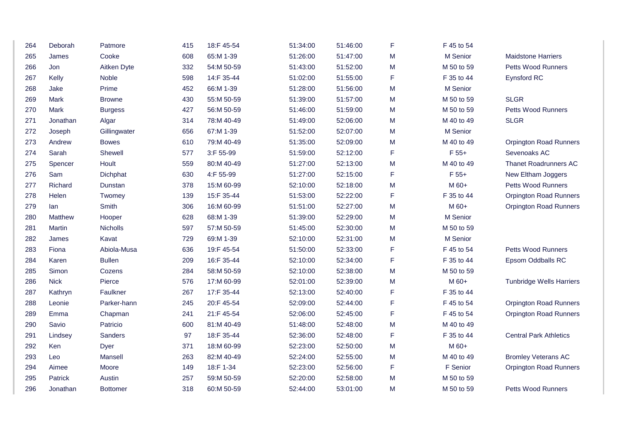| 264 | Deborah        | Patmore         | 415 | 18:F 45-54 | 51:34:00 | 51:46:00 | F | F 45 to 54 |                                 |
|-----|----------------|-----------------|-----|------------|----------|----------|---|------------|---------------------------------|
| 265 | James          | Cooke           | 608 | 65:M 1-39  | 51:26:00 | 51:47:00 | M | M Senior   | <b>Maidstone Harriers</b>       |
| 266 | Jon            | Aitken Dyte     | 332 | 54:M 50-59 | 51:43:00 | 51:52:00 | M | M 50 to 59 | Petts Wood Runners              |
| 267 | Kelly          | Noble           | 598 | 14:F 35-44 | 51:02:00 | 51:55:00 | F | F 35 to 44 | Eynsford RC                     |
| 268 | Jake           | Prime           | 452 | 66:M 1-39  | 51:28:00 | 51:56:00 | M | M Senior   |                                 |
| 269 | Mark           | <b>Browne</b>   | 430 | 55:M 50-59 | 51:39:00 | 51:57:00 | M | M 50 to 59 | <b>SLGR</b>                     |
| 270 | Mark           | <b>Burgess</b>  | 427 | 56:M 50-59 | 51:46:00 | 51:59:00 | M | M 50 to 59 | <b>Petts Wood Runners</b>       |
| 271 | Jonathan       | Algar           | 314 | 78:M 40-49 | 51:49:00 | 52:06:00 | M | M 40 to 49 | <b>SLGR</b>                     |
| 272 | Joseph         | Gillingwater    | 656 | 67:M 1-39  | 51:52:00 | 52:07:00 | M | M Senior   |                                 |
| 273 | Andrew         | <b>Bowes</b>    | 610 | 79:M 40-49 | 51:35:00 | 52:09:00 | M | M 40 to 49 | <b>Orpington Road Runners</b>   |
| 274 | Sarah          | Shewell         | 577 | 3:F 55-99  | 51:59:00 | 52:12:00 | F | $F 55+$    | Sevenoaks AC                    |
| 275 | Spencer        | Hoult           | 559 | 80:M 40-49 | 51:27:00 | 52:13:00 | M | M 40 to 49 | <b>Thanet Roadrunners AC</b>    |
| 276 | Sam            | Dichphat        | 630 | 4:F 55-99  | 51:27:00 | 52:15:00 | F | $F 55+$    | New Eltham Joggers              |
| 277 | Richard        | Dunstan         | 378 | 15:M 60-99 | 52:10:00 | 52:18:00 | M | M 60+      | Petts Wood Runners              |
| 278 | Helen          | Twomey          | 139 | 15:F 35-44 | 51:53:00 | 52:22:00 | F | F 35 to 44 | <b>Orpington Road Runners</b>   |
| 279 | lan            | Smith           | 306 | 16:M 60-99 | 51:51:00 | 52:27:00 | M | M 60+      | <b>Orpington Road Runners</b>   |
| 280 | <b>Matthew</b> | Hooper          | 628 | 68:M 1-39  | 51:39:00 | 52:29:00 | M | M Senior   |                                 |
| 281 | Martin         | <b>Nicholls</b> | 597 | 57:M 50-59 | 51:45:00 | 52:30:00 | M | M 50 to 59 |                                 |
| 282 | James          | Kavat           | 729 | 69:M 1-39  | 52:10:00 | 52:31:00 | M | M Senior   |                                 |
| 283 | Fiona          | Abiola-Musa     | 636 | 19:F 45-54 | 51:50:00 | 52:33:00 | F | F 45 to 54 | <b>Petts Wood Runners</b>       |
| 284 | Karen          | <b>Bullen</b>   | 209 | 16:F 35-44 | 52:10:00 | 52:34:00 | F | F 35 to 44 | Epsom Oddballs RC               |
| 285 | Simon          | Cozens          | 284 | 58:M 50-59 | 52:10:00 | 52:38:00 | M | M 50 to 59 |                                 |
| 286 | <b>Nick</b>    | Pierce          | 576 | 17:M 60-99 | 52:01:00 | 52:39:00 | M | M 60+      | <b>Tunbridge Wells Harriers</b> |
| 287 | Kathryn        | Faulkner        | 267 | 17:F 35-44 | 52:13:00 | 52:40:00 | F | F 35 to 44 |                                 |
| 288 | Leonie         | Parker-hann     | 245 | 20:F 45-54 | 52:09:00 | 52:44:00 | F | F 45 to 54 | <b>Orpington Road Runners</b>   |
| 289 | Emma           | Chapman         | 241 | 21:F 45-54 | 52:06:00 | 52:45:00 | F | F 45 to 54 | <b>Orpington Road Runners</b>   |
| 290 | Savio          | Patricio        | 600 | 81:M 40-49 | 51:48:00 | 52:48:00 | M | M 40 to 49 |                                 |
| 291 | Lindsey        | <b>Sanders</b>  | 97  | 18:F 35-44 | 52:36:00 | 52:48:00 | F | F 35 to 44 | <b>Central Park Athletics</b>   |
| 292 | Ken            | Dyer            | 371 | 18:M 60-99 | 52:23:00 | 52:50:00 | M | M 60+      |                                 |
| 293 | Leo            | Mansell         | 263 | 82:M 40-49 | 52:24:00 | 52:55:00 | М | M 40 to 49 | <b>Bromley Veterans AC</b>      |
| 294 | Aimee          | Moore           | 149 | 18:F 1-34  | 52:23:00 | 52:56:00 | F | F Senior   | <b>Orpington Road Runners</b>   |
| 295 | Patrick        | Austin          | 257 | 59:M 50-59 | 52:20:00 | 52:58:00 | M | M 50 to 59 |                                 |
| 296 | Jonathan       | <b>Bottomer</b> | 318 | 60:M 50-59 | 52:44:00 | 53:01:00 | M | M 50 to 59 | <b>Petts Wood Runners</b>       |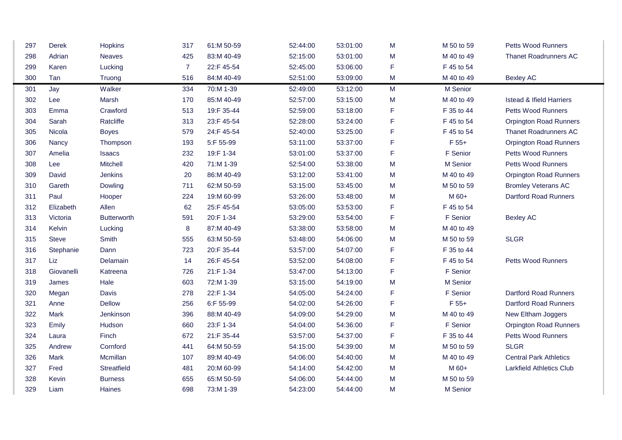| 297 | Derek        | Hopkins            | 317            | 61:M 50-59 | 52:44:00 | 53:01:00 | M           | M 50 to 59 | Petts Wood Runners                  |  |
|-----|--------------|--------------------|----------------|------------|----------|----------|-------------|------------|-------------------------------------|--|
| 298 | Adrian       | <b>Neaves</b>      | 425            | 83:M 40-49 | 52:15:00 | 53:01:00 | M           | M 40 to 49 | <b>Thanet Roadrunners AC</b>        |  |
| 299 | Karen        | Lucking            | $\overline{7}$ | 22:F 45-54 | 52:45:00 | 53:06:00 | F           | F 45 to 54 |                                     |  |
| 300 | Tan          | Truong             | 516            | 84:M 40-49 | 52:51:00 | 53:09:00 | M           | M 40 to 49 | <b>Bexley AC</b>                    |  |
| 301 | Jay          | Walker             | 334            | 70:M 1-39  | 52:49:00 | 53:12:00 | M           | M Senior   |                                     |  |
| 302 | Lee          | Marsh              | 170            | 85:M 40-49 | 52:57:00 | 53:15:00 | M           | M 40 to 49 | <b>Istead &amp; Ifield Harriers</b> |  |
| 303 | Emma         | Crawford           | 513            | 19:F 35-44 | 52:59:00 | 53:18:00 | F           | F 35 to 44 | Petts Wood Runners                  |  |
| 304 | Sarah        | Ratcliffe          | 313            | 23:F 45-54 | 52:28:00 | 53:24:00 | F           | F 45 to 54 | <b>Orpington Road Runners</b>       |  |
| 305 | Nicola       | <b>Boyes</b>       | 579            | 24:F 45-54 | 52:40:00 | 53:25:00 | F           | F 45 to 54 | <b>Thanet Roadrunners AC</b>        |  |
| 306 | Nancy        | Thompson           | 193            | 5:F 55-99  | 53:11:00 | 53:37:00 | F           | $F 55+$    | <b>Orpington Road Runners</b>       |  |
| 307 | Amelia       | <b>Isaacs</b>      | 232            | 19:F 1-34  | 53:01:00 | 53:37:00 | F           | F Senior   | <b>Petts Wood Runners</b>           |  |
| 308 | Lee          | Mitchell           | 420            | 71:M 1-39  | 52:54:00 | 53:38:00 | M           | M Senior   | Petts Wood Runners                  |  |
| 309 | David        | Jenkins            | 20             | 86:M 40-49 | 53:12:00 | 53:41:00 | M           | M 40 to 49 | <b>Orpington Road Runners</b>       |  |
| 310 | Gareth       | Dowling            | 711            | 62:M 50-59 | 53:15:00 | 53:45:00 | M           | M 50 to 59 | <b>Bromley Veterans AC</b>          |  |
| 311 | Paul         | Hooper             | 224            | 19:M 60-99 | 53:26:00 | 53:48:00 | M           | M 60+      | <b>Dartford Road Runners</b>        |  |
| 312 | Elizabeth    | Allen              | 62             | 25:F 45-54 | 53:05:00 | 53:53:00 | F           | F 45 to 54 |                                     |  |
| 313 | Victoria     | <b>Butterworth</b> | 591            | 20:F 1-34  | 53:29:00 | 53:54:00 | F           | F Senior   | <b>Bexley AC</b>                    |  |
| 314 | Kelvin       | Lucking            | 8              | 87:M 40-49 | 53:38:00 | 53:58:00 | M           | M 40 to 49 |                                     |  |
| 315 | <b>Steve</b> | Smith              | 555            | 63:M 50-59 | 53:48:00 | 54:06:00 | M           | M 50 to 59 | <b>SLGR</b>                         |  |
| 316 | Stephanie    | Dann               | 723            | 20:F 35-44 | 53:57:00 | 54:07:00 | $\mathsf F$ | F 35 to 44 |                                     |  |
| 317 | Liz.         | Delamain           | 14             | 26:F 45-54 | 53:52:00 | 54:08:00 | F           | F 45 to 54 | Petts Wood Runners                  |  |
| 318 | Giovanelli   | Katreena           | 726            | 21:F 1-34  | 53:47:00 | 54:13:00 | F           | F Senior   |                                     |  |
| 319 | James        | Hale               | 603            | 72:M 1-39  | 53:15:00 | 54:19:00 | M           | M Senior   |                                     |  |
| 320 | Megan        | Davis              | 278            | 22:F 1-34  | 54:05:00 | 54:24:00 | F           | F Senior   | Dartford Road Runners               |  |
| 321 | Anne         | <b>Dellow</b>      | 256            | 6:F 55-99  | 54:02:00 | 54:26:00 | F           | $F 55+$    | <b>Dartford Road Runners</b>        |  |
| 322 | Mark         | Jenkinson          | 396            | 88:M 40-49 | 54:09:00 | 54:29:00 | M           | M 40 to 49 | New Eltham Joggers                  |  |
| 323 | Emily        | Hudson             | 660            | 23:F 1-34  | 54:04:00 | 54:36:00 | F           | F Senior   | <b>Orpington Road Runners</b>       |  |
| 324 | Laura        | Finch              | 672            | 21:F 35-44 | 53:57:00 | 54:37:00 | F           | F 35 to 44 | Petts Wood Runners                  |  |
| 325 | Andrew       | Cornford           | 441            | 64:M 50-59 | 54:15:00 | 54:39:00 | M           | M 50 to 59 | <b>SLGR</b>                         |  |
| 326 | Mark         | Mcmillan           | 107            | 89:M 40-49 | 54:06:00 | 54:40:00 | M           | M 40 to 49 | <b>Central Park Athletics</b>       |  |
| 327 | Fred         | Streatfield        | 481            | 20:M 60-99 | 54:14:00 | 54:42:00 | M           | M 60+      | <b>Larkfield Athletics Club</b>     |  |
| 328 | Kevin        | <b>Burness</b>     | 655            | 65:M 50-59 | 54:06:00 | 54:44:00 | M           | M 50 to 59 |                                     |  |
| 329 | Liam         | Haines             | 698            | 73:M 1-39  | 54:23:00 | 54:44:00 | M           | M Senior   |                                     |  |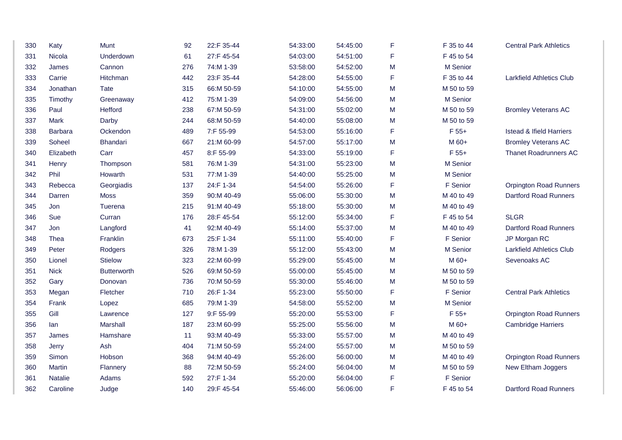| 330 | Katy           | Munt               | 92  | 22:F 35-44 | 54:33:00 | 54:45:00 | F | F 35 to 44 | <b>Central Park Athletics</b>       |
|-----|----------------|--------------------|-----|------------|----------|----------|---|------------|-------------------------------------|
| 331 | Nicola         | Underdown          | 61  | 27:F 45-54 | 54:03:00 | 54:51:00 | F | F 45 to 54 |                                     |
| 332 | James          | Cannon             | 276 | 74:M 1-39  | 53:58:00 | 54:52:00 | M | M Senior   |                                     |
| 333 | Carrie         | Hitchman           | 442 | 23:F 35-44 | 54:28:00 | 54:55:00 | F | F 35 to 44 | <b>Larkfield Athletics Club</b>     |
| 334 | Jonathan       | <b>Tate</b>        | 315 | 66:M 50-59 | 54:10:00 | 54:55:00 | M | M 50 to 59 |                                     |
| 335 | Timothy        | Greenaway          | 412 | 75:M 1-39  | 54:09:00 | 54:56:00 | M | M Senior   |                                     |
| 336 | Paul           | Hefford            | 238 | 67:M 50-59 | 54:31:00 | 55:02:00 | M | M 50 to 59 | <b>Bromley Veterans AC</b>          |
| 337 | Mark           | Darby              | 244 | 68:M 50-59 | 54:40:00 | 55:08:00 | M | M 50 to 59 |                                     |
| 338 | Barbara        | Ockendon           | 489 | 7:F 55-99  | 54:53:00 | 55:16:00 | F | $F 55+$    | <b>Istead &amp; Ifield Harriers</b> |
| 339 | Soheel         | Bhandari           | 667 | 21:M 60-99 | 54:57:00 | 55:17:00 | M | M 60+      | <b>Bromley Veterans AC</b>          |
| 340 | Elizabeth      | Carr               | 457 | 8:F 55-99  | 54:33:00 | 55:19:00 | F | $F 55+$    | <b>Thanet Roadrunners AC</b>        |
| 341 | Henry          | Thompson           | 581 | 76:M 1-39  | 54:31:00 | 55:23:00 | M | M Senior   |                                     |
| 342 | Phil           | Howarth            | 531 | 77:M 1-39  | 54:40:00 | 55:25:00 | M | M Senior   |                                     |
| 343 | Rebecca        | Georgiadis         | 137 | 24:F 1-34  | 54:54:00 | 55:26:00 | F | F Senior   | <b>Orpington Road Runners</b>       |
| 344 | Darren         | <b>Moss</b>        | 359 | 90:M 40-49 | 55:06:00 | 55:30:00 | M | M 40 to 49 | <b>Dartford Road Runners</b>        |
| 345 | Jon            | Tuerena            | 215 | 91:M 40-49 | 55:18:00 | 55:30:00 | M | M 40 to 49 |                                     |
| 346 | Sue            | Curran             | 176 | 28:F 45-54 | 55:12:00 | 55:34:00 | F | F 45 to 54 | <b>SLGR</b>                         |
| 347 | Jon            | Langford           | 41  | 92:M 40-49 | 55:14:00 | 55:37:00 | M | M 40 to 49 | <b>Dartford Road Runners</b>        |
| 348 | Thea           | Franklin           | 673 | 25:F 1-34  | 55:11:00 | 55:40:00 | F | F Senior   | JP Morgan RC                        |
| 349 | Peter          | Rodgers            | 326 | 78:M 1-39  | 55:12:00 | 55:43:00 | M | M Senior   | <b>Larkfield Athletics Club</b>     |
| 350 | Lionel         | <b>Stielow</b>     | 323 | 22:M 60-99 | 55:29:00 | 55:45:00 | M | M 60+      | Sevenoaks AC                        |
| 351 | <b>Nick</b>    | <b>Butterworth</b> | 526 | 69:M 50-59 | 55:00:00 | 55:45:00 | M | M 50 to 59 |                                     |
| 352 | Gary           | Donovan            | 736 | 70:M 50-59 | 55:30:00 | 55:46:00 | M | M 50 to 59 |                                     |
| 353 | Megan          | Fletcher           | 710 | 26:F 1-34  | 55:23:00 | 55:50:00 | F | F Senior   | <b>Central Park Athletics</b>       |
| 354 | Frank          | Lopez              | 685 | 79:M 1-39  | 54:58:00 | 55:52:00 | M | M Senior   |                                     |
| 355 | Gill           | Lawrence           | 127 | 9:F 55-99  | 55:20:00 | 55:53:00 | F | $F 55+$    | <b>Orpington Road Runners</b>       |
| 356 | lan            | Marshall           | 187 | 23:M 60-99 | 55:25:00 | 55:56:00 | M | M 60+      | <b>Cambridge Harriers</b>           |
| 357 | James          | Hamshare           | 11  | 93:M 40-49 | 55:33:00 | 55:57:00 | M | M 40 to 49 |                                     |
| 358 | Jerry          | Ash                | 404 | 71:M 50-59 | 55:24:00 | 55:57:00 | M | M 50 to 59 |                                     |
| 359 | Simon          | Hobson             | 368 | 94:M 40-49 | 55:26:00 | 56:00:00 | M | M 40 to 49 | <b>Orpington Road Runners</b>       |
| 360 | Martin         | Flannery           | 88  | 72:M 50-59 | 55:24:00 | 56:04:00 | M | M 50 to 59 | New Eltham Joggers                  |
| 361 | <b>Natalie</b> | Adams              | 592 | 27:F 1-34  | 55:20:00 | 56:04:00 | F | F Senior   |                                     |
| 362 | Caroline       | Judge              | 140 | 29:F 45-54 | 55:46:00 | 56:06:00 | F | F 45 to 54 | <b>Dartford Road Runners</b>        |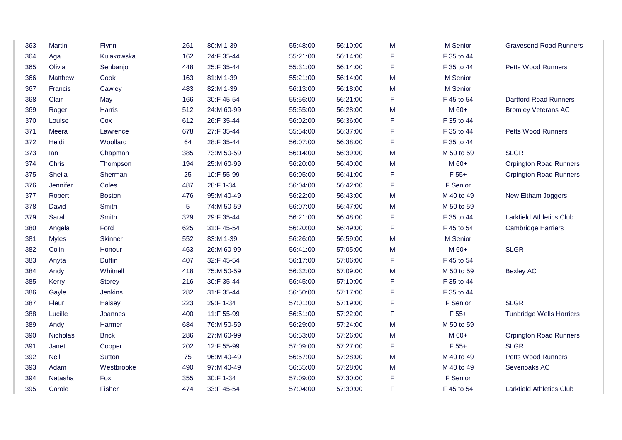| 363 | Martin          | Flynn          | 261 | 80:M 1-39  | 55:48:00 | 56:10:00 | M | M Senior   | <b>Gravesend Road Runners</b>   |
|-----|-----------------|----------------|-----|------------|----------|----------|---|------------|---------------------------------|
| 364 | Aga             | Kulakowska     | 162 | 24:F 35-44 | 55:21:00 | 56:14:00 | F | F 35 to 44 |                                 |
| 365 | Olivia          | Senbanjo       | 448 | 25:F 35-44 | 55:31:00 | 56:14:00 | F | F 35 to 44 | <b>Petts Wood Runners</b>       |
| 366 | Matthew         | Cook           | 163 | 81:M 1-39  | 55:21:00 | 56:14:00 | M | M Senior   |                                 |
| 367 | Francis         | Cawley         | 483 | 82:M 1-39  | 56:13:00 | 56:18:00 | M | M Senior   |                                 |
| 368 | Clair           | May            | 166 | 30:F 45-54 | 55:56:00 | 56:21:00 | F | F 45 to 54 | <b>Dartford Road Runners</b>    |
| 369 | Roger           | Harris         | 512 | 24:M 60-99 | 55:55:00 | 56:28:00 | M | M 60+      | <b>Bromley Veterans AC</b>      |
| 370 | Louise          | Cox            | 612 | 26:F 35-44 | 56:02:00 | 56:36:00 | F | F 35 to 44 |                                 |
| 371 | Meera           | Lawrence       | 678 | 27:F 35-44 | 55:54:00 | 56:37:00 | F | F 35 to 44 | <b>Petts Wood Runners</b>       |
| 372 | Heidi           | Woollard       | 64  | 28:F 35-44 | 56:07:00 | 56:38:00 | F | F 35 to 44 |                                 |
| 373 | lan             | Chapman        | 385 | 73:M 50-59 | 56:14:00 | 56:39:00 | M | M 50 to 59 | <b>SLGR</b>                     |
| 374 | Chris           | Thompson       | 194 | 25:M 60-99 | 56:20:00 | 56:40:00 | M | M 60+      | <b>Orpington Road Runners</b>   |
| 375 | Sheila          | Sherman        | 25  | 10:F 55-99 | 56:05:00 | 56:41:00 | F | F 55+      | <b>Orpington Road Runners</b>   |
| 376 | <b>Jennifer</b> | Coles          | 487 | 28:F 1-34  | 56:04:00 | 56:42:00 | F | F Senior   |                                 |
| 377 | Robert          | <b>Boston</b>  | 476 | 95:M 40-49 | 56:22:00 | 56:43:00 | M | M 40 to 49 | New Eltham Joggers              |
| 378 | David           | Smith          | 5   | 74:M 50-59 | 56:07:00 | 56:47:00 | M | M 50 to 59 |                                 |
| 379 | Sarah           | Smith          | 329 | 29:F 35-44 | 56:21:00 | 56:48:00 | F | F 35 to 44 | <b>Larkfield Athletics Club</b> |
| 380 | Angela          | Ford           | 625 | 31:F 45-54 | 56:20:00 | 56:49:00 | F | F 45 to 54 | <b>Cambridge Harriers</b>       |
| 381 | <b>Myles</b>    | <b>Skinner</b> | 552 | 83:M 1-39  | 56:26:00 | 56:59:00 | M | M Senior   |                                 |
| 382 | Colin           | Honour         | 463 | 26:M 60-99 | 56:41:00 | 57:05:00 | M | M 60+      | <b>SLGR</b>                     |
| 383 | Anyta           | <b>Duffin</b>  | 407 | 32:F 45-54 | 56:17:00 | 57:06:00 | F | F 45 to 54 |                                 |
| 384 | Andy            | Whitnell       | 418 | 75:M 50-59 | 56:32:00 | 57:09:00 | M | M 50 to 59 | <b>Bexley AC</b>                |
| 385 | Kerry           | Storey         | 216 | 30:F 35-44 | 56:45:00 | 57:10:00 | F | F 35 to 44 |                                 |
| 386 | Gayle           | Jenkins        | 282 | 31:F 35-44 | 56:50:00 | 57:17:00 | F | F 35 to 44 |                                 |
| 387 | Fleur           | Halsey         | 223 | 29:F 1-34  | 57:01:00 | 57:19:00 | F | F Senior   | <b>SLGR</b>                     |
| 388 | Lucille         | Joannes        | 400 | 11:F 55-99 | 56:51:00 | 57:22:00 | F | $F 55+$    | <b>Tunbridge Wells Harriers</b> |
| 389 | Andy            | Harmer         | 684 | 76:M 50-59 | 56:29:00 | 57:24:00 | M | M 50 to 59 |                                 |
| 390 | Nicholas        | <b>Brick</b>   | 286 | 27:M 60-99 | 56:53:00 | 57:26:00 | M | M 60+      | <b>Orpington Road Runners</b>   |
| 391 | Janet           | Cooper         | 202 | 12:F 55-99 | 57:09:00 | 57:27:00 | F | $F 55+$    | <b>SLGR</b>                     |
| 392 | Neil            | Sutton         | 75  | 96:M 40-49 | 56:57:00 | 57:28:00 | M | M 40 to 49 | <b>Petts Wood Runners</b>       |
| 393 | Adam            | Westbrooke     | 490 | 97:M 40-49 | 56:55:00 | 57:28:00 | м | M 40 to 49 | Sevenoaks AC                    |
| 394 | Natasha         | Fox            | 355 | 30:F 1-34  | 57:09:00 | 57:30:00 | F | F Senior   |                                 |
| 395 | Carole          | Fisher         | 474 | 33:F 45-54 | 57:04:00 | 57:30:00 | F | F 45 to 54 | <b>Larkfield Athletics Club</b> |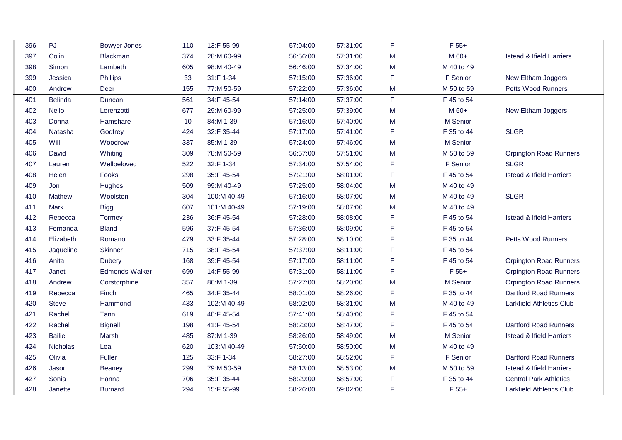| 396 | PJ              | <b>Bowyer Jones</b> | 110 | 13:F 55-99  | 57:04:00 | 57:31:00 | F | $F 55+$    |                                     |
|-----|-----------------|---------------------|-----|-------------|----------|----------|---|------------|-------------------------------------|
| 397 | Colin           | Blackman            | 374 | 28:M 60-99  | 56:56:00 | 57:31:00 | M | M 60+      | <b>Istead &amp; Ifield Harriers</b> |
| 398 | Simon           | Lambeth             | 605 | 98:M 40-49  | 56:46:00 | 57:34:00 | M | M 40 to 49 |                                     |
| 399 | Jessica         | Phillips            | 33  | 31:F 1-34   | 57:15:00 | 57:36:00 | F | F Senior   | New Eltham Joggers                  |
| 400 | Andrew          | Deer                | 155 | 77:M 50-59  | 57:22:00 | 57:36:00 | M | M 50 to 59 | Petts Wood Runners                  |
| 401 | <b>Belinda</b>  | Duncan              | 561 | 34:F 45-54  | 57:14:00 | 57:37:00 | F | F 45 to 54 |                                     |
| 402 | Nello           | Lorenzotti          | 677 | 29:M 60-99  | 57:25:00 | 57:39:00 | M | M 60+      | New Eltham Joggers                  |
| 403 | Donna           | Hamshare            | 10  | 84:M 1-39   | 57:16:00 | 57:40:00 | M | M Senior   |                                     |
| 404 | Natasha         | Godfrey             | 424 | 32:F 35-44  | 57:17:00 | 57:41:00 | F | F 35 to 44 | <b>SLGR</b>                         |
| 405 | Will            | Woodrow             | 337 | 85:M 1-39   | 57:24:00 | 57:46:00 | M | M Senior   |                                     |
| 406 | David           | Whiting             | 309 | 78:M 50-59  | 56:57:00 | 57:51:00 | M | M 50 to 59 | <b>Orpington Road Runners</b>       |
| 407 | Lauren          | Wellbeloved         | 522 | 32:F 1-34   | 57:34:00 | 57:54:00 | F | F Senior   | <b>SLGR</b>                         |
| 408 | Helen           | Fooks               | 298 | 35:F 45-54  | 57:21:00 | 58:01:00 | F | F 45 to 54 | <b>Istead &amp; Ifield Harriers</b> |
| 409 | Jon             | Hughes              | 509 | 99:M 40-49  | 57:25:00 | 58:04:00 | M | M 40 to 49 |                                     |
| 410 | <b>Mathew</b>   | Woolston            | 304 | 100:M 40-49 | 57:16:00 | 58:07:00 | M | M 40 to 49 | <b>SLGR</b>                         |
| 411 | Mark            | <b>Bigg</b>         | 607 | 101:M 40-49 | 57:19:00 | 58:07:00 | M | M 40 to 49 |                                     |
| 412 | Rebecca         | Tormey              | 236 | 36:F 45-54  | 57:28:00 | 58:08:00 | F | F 45 to 54 | <b>Istead &amp; Ifield Harriers</b> |
| 413 | Fernanda        | <b>Bland</b>        | 596 | 37:F 45-54  | 57:36:00 | 58:09:00 | F | F 45 to 54 |                                     |
| 414 | Elizabeth       | Romano              | 479 | 33:F 35-44  | 57:28:00 | 58:10:00 | F | F 35 to 44 | Petts Wood Runners                  |
| 415 | Jaqueline       | <b>Skinner</b>      | 715 | 38:F 45-54  | 57:37:00 | 58:11:00 | F | F 45 to 54 |                                     |
| 416 | Anita           | <b>Dubery</b>       | 168 | 39:F 45-54  | 57:17:00 | 58:11:00 | F | F 45 to 54 | <b>Orpington Road Runners</b>       |
| 417 | Janet           | Edmonds-Walker      | 699 | 14:F 55-99  | 57:31:00 | 58:11:00 | F | $F 55+$    | <b>Orpington Road Runners</b>       |
| 418 | Andrew          | Corstorphine        | 357 | 86:M 1-39   | 57:27:00 | 58:20:00 | M | M Senior   | <b>Orpington Road Runners</b>       |
| 419 | Rebecca         | Finch               | 465 | 34:F 35-44  | 58:01:00 | 58:26:00 | F | F 35 to 44 | <b>Dartford Road Runners</b>        |
| 420 | <b>Steve</b>    | Hammond             | 433 | 102:M 40-49 | 58:02:00 | 58:31:00 | M | M 40 to 49 | <b>Larkfield Athletics Club</b>     |
| 421 | Rachel          | Tann                | 619 | 40:F 45-54  | 57:41:00 | 58:40:00 | F | F 45 to 54 |                                     |
| 422 | Rachel          | <b>Bignell</b>      | 198 | 41:F 45-54  | 58:23:00 | 58:47:00 | F | F 45 to 54 | <b>Dartford Road Runners</b>        |
| 423 | <b>Bailie</b>   | Marsh               | 485 | 87:M 1-39   | 58:26:00 | 58:49:00 | M | M Senior   | <b>Istead &amp; Ifield Harriers</b> |
| 424 | <b>Nicholas</b> | Lea                 | 620 | 103:M 40-49 | 57:50:00 | 58:50:00 | M | M 40 to 49 |                                     |
| 425 | Olivia          | <b>Fuller</b>       | 125 | 33:F 1-34   | 58:27:00 | 58:52:00 | F | F Senior   | <b>Dartford Road Runners</b>        |
| 426 | Jason           | <b>Beaney</b>       | 299 | 79:M 50-59  | 58:13:00 | 58:53:00 | M | M 50 to 59 | <b>Istead &amp; Ifield Harriers</b> |
| 427 | Sonia           | Hanna               | 706 | 35:F 35-44  | 58:29:00 | 58:57:00 | F | F 35 to 44 | <b>Central Park Athletics</b>       |
| 428 | Janette         | Burnard             | 294 | 15:F 55-99  | 58:26:00 | 59:02:00 | F | $F 55+$    | <b>Larkfield Athletics Club</b>     |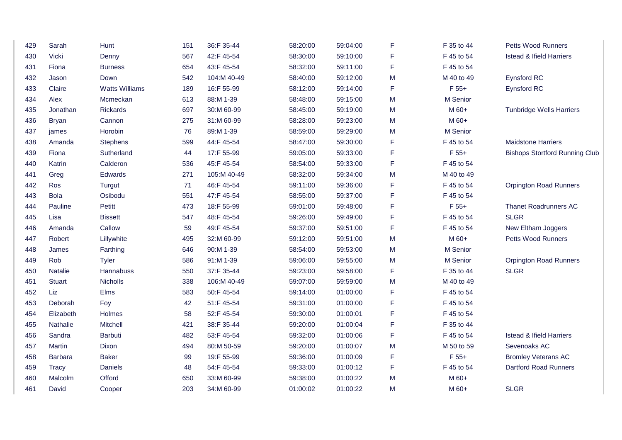| 429 | Sarah          | Hunt                  | 151 | 36:F 35-44  | 58:20:00 | 59:04:00 | F | F 35 to 44 | <b>Petts Wood Runners</b>             |
|-----|----------------|-----------------------|-----|-------------|----------|----------|---|------------|---------------------------------------|
| 430 | Vicki          | Denny                 | 567 | 42:F 45-54  | 58:30:00 | 59:10:00 | F | F 45 to 54 | <b>Istead &amp; Ifield Harriers</b>   |
| 431 | Fiona          | <b>Burness</b>        | 654 | 43:F 45-54  | 58:32:00 | 59:11:00 | F | F 45 to 54 |                                       |
| 432 | Jason          | Down                  | 542 | 104:M 40-49 | 58:40:00 | 59:12:00 | M | M 40 to 49 | Eynsford RC                           |
| 433 | Claire         | <b>Watts Williams</b> | 189 | 16:F 55-99  | 58:12:00 | 59:14:00 | F | $F 55+$    | Eynsford RC                           |
| 434 | Alex           | Mcmeckan              | 613 | 88:M 1-39   | 58:48:00 | 59:15:00 | M | M Senior   |                                       |
| 435 | Jonathan       | Rickards              | 697 | 30:M 60-99  | 58:45:00 | 59:19:00 | M | M 60+      | <b>Tunbridge Wells Harriers</b>       |
| 436 | <b>Bryan</b>   | Cannon                | 275 | 31:M 60-99  | 58:28:00 | 59:23:00 | M | M 60+      |                                       |
| 437 | james          | Horobin               | 76  | 89:M 1-39   | 58:59:00 | 59:29:00 | M | M Senior   |                                       |
| 438 | Amanda         | Stephens              | 599 | 44:F 45-54  | 58:47:00 | 59:30:00 | F | F 45 to 54 | <b>Maidstone Harriers</b>             |
| 439 | Fiona          | Sutherland            | 44  | 17:F 55-99  | 59:05:00 | 59:33:00 | F | $F 55+$    | <b>Bishops Stortford Running Club</b> |
| 440 | Katrin         | Calderon              | 536 | 45:F 45-54  | 58:54:00 | 59:33:00 | F | F 45 to 54 |                                       |
| 441 | Greg           | Edwards               | 271 | 105:M 40-49 | 58:32:00 | 59:34:00 | M | M 40 to 49 |                                       |
| 442 | Ros            | Turgut                | 71  | 46:F 45-54  | 59:11:00 | 59:36:00 | F | F 45 to 54 | <b>Orpington Road Runners</b>         |
| 443 | <b>Bola</b>    | Osibodu               | 551 | 47:F 45-54  | 58:55:00 | 59:37:00 | F | F 45 to 54 |                                       |
| 444 | Pauline        | Petitt                | 473 | 18:F 55-99  | 59:01:00 | 59:48:00 | F | $F 55+$    | <b>Thanet Roadrunners AC</b>          |
| 445 | Lisa           | <b>Bissett</b>        | 547 | 48:F 45-54  | 59:26:00 | 59:49:00 | F | F 45 to 54 | <b>SLGR</b>                           |
| 446 | Amanda         | Callow                | 59  | 49:F 45-54  | 59:37:00 | 59:51:00 | F | F 45 to 54 | New Eltham Joggers                    |
| 447 | Robert         | Lillywhite            | 495 | 32:M 60-99  | 59:12:00 | 59:51:00 | M | M 60+      | <b>Petts Wood Runners</b>             |
| 448 | James          | Farthing              | 646 | 90:M 1-39   | 58:54:00 | 59:53:00 | M | M Senior   |                                       |
| 449 | Rob            | <b>Tyler</b>          | 586 | 91:M 1-39   | 59:06:00 | 59:55:00 | M | M Senior   | <b>Orpington Road Runners</b>         |
| 450 | <b>Natalie</b> | Hannabuss             | 550 | 37:F 35-44  | 59:23:00 | 59:58:00 | F | F 35 to 44 | <b>SLGR</b>                           |
| 451 | <b>Stuart</b>  | Nicholls              | 338 | 106:M 40-49 | 59:07:00 | 59:59:00 | M | M 40 to 49 |                                       |
| 452 | Liz            | Elms                  | 583 | 50:F 45-54  | 59:14:00 | 01:00:00 | F | F 45 to 54 |                                       |
| 453 | Deborah        | Foy                   | 42  | 51:F 45-54  | 59:31:00 | 01:00:00 | F | F 45 to 54 |                                       |
| 454 | Elizabeth      | Holmes                | 58  | 52:F 45-54  | 59:30:00 | 01:00:01 | F | F 45 to 54 |                                       |
| 455 | Nathalie       | Mitchell              | 421 | 38:F 35-44  | 59:20:00 | 01:00:04 | F | F 35 to 44 |                                       |
| 456 | Sandra         | <b>Barbuti</b>        | 482 | 53:F 45-54  | 59:32:00 | 01:00:06 | F | F 45 to 54 | <b>Istead &amp; Ifield Harriers</b>   |
| 457 | Martin         | Dixon                 | 494 | 80:M 50-59  | 59:20:00 | 01:00:07 | M | M 50 to 59 | Sevenoaks AC                          |
| 458 | <b>Barbara</b> | <b>Baker</b>          | 99  | 19:F 55-99  | 59:36:00 | 01:00:09 | F | $F 55+$    | <b>Bromley Veterans AC</b>            |
| 459 | <b>Tracy</b>   | Daniels               | 48  | 54:F 45-54  | 59:33:00 | 01:00:12 | F | F 45 to 54 | <b>Dartford Road Runners</b>          |
| 460 | Malcolm        | Offord                | 650 | 33:M 60-99  | 59:38:00 | 01:00:22 | M | M 60+      |                                       |
| 461 | David          | Cooper                | 203 | 34:M 60-99  | 01:00:02 | 01:00:22 | M | M 60+      | <b>SLGR</b>                           |
|     |                |                       |     |             |          |          |   |            |                                       |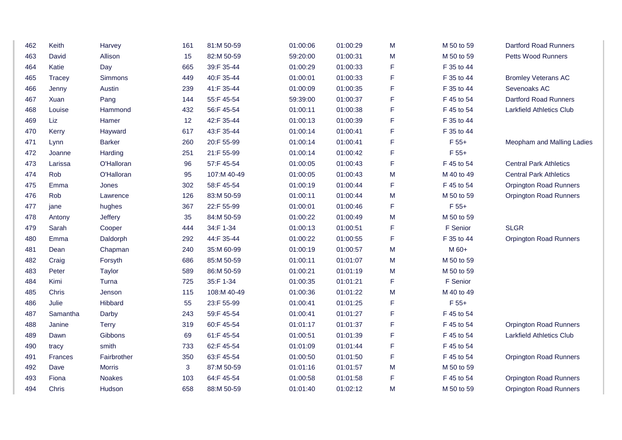| 462 | Keith          | Harvey        | 161 | 81:M 50-59  | 01:00:06 | 01:00:29 | M | M 50 to 59 | <b>Dartford Road Runners</b>    |
|-----|----------------|---------------|-----|-------------|----------|----------|---|------------|---------------------------------|
| 463 | David          | Allison       | 15  | 82:M 50-59  | 59:20:00 | 01:00:31 | M | M 50 to 59 | <b>Petts Wood Runners</b>       |
| 464 | Katie          | Day           | 665 | 39:F 35-44  | 01:00:29 | 01:00:33 | F | F 35 to 44 |                                 |
| 465 | <b>Tracey</b>  | Simmons       | 449 | 40:F 35-44  | 01:00:01 | 01:00:33 | F | F 35 to 44 | <b>Bromley Veterans AC</b>      |
| 466 | Jenny          | Austin        | 239 | 41:F 35-44  | 01:00:09 | 01:00:35 | F | F 35 to 44 | Sevenoaks AC                    |
| 467 | Xuan           | Pang          | 144 | 55:F 45-54  | 59:39:00 | 01:00:37 | F | F 45 to 54 | <b>Dartford Road Runners</b>    |
| 468 | Louise         | Hammond       | 432 | 56:F 45-54  | 01:00:11 | 01:00:38 | F | F 45 to 54 | <b>Larkfield Athletics Club</b> |
| 469 | Liz            | Hamer         | 12  | 42:F 35-44  | 01:00:13 | 01:00:39 | F | F 35 to 44 |                                 |
| 470 | Kerry          | Hayward       | 617 | 43:F 35-44  | 01:00:14 | 01:00:41 | F | F 35 to 44 |                                 |
| 471 | Lynn           | <b>Barker</b> | 260 | 20:F 55-99  | 01:00:14 | 01:00:41 | F | F 55+      | Meopham and Malling Ladies      |
| 472 | Joanne         | Harding       | 251 | 21:F 55-99  | 01:00:14 | 01:00:42 | F | $F 55+$    |                                 |
| 473 | Larissa        | O'Halloran    | 96  | 57:F 45-54  | 01:00:05 | 01:00:43 | F | F 45 to 54 | <b>Central Park Athletics</b>   |
| 474 | Rob            | O'Halloran    | 95  | 107:M 40-49 | 01:00:05 | 01:00:43 | M | M 40 to 49 | <b>Central Park Athletics</b>   |
| 475 | Emma           | Jones         | 302 | 58:F 45-54  | 01:00:19 | 01:00:44 | F | F 45 to 54 | <b>Orpington Road Runners</b>   |
| 476 | Rob            | Lawrence      | 126 | 83:M 50-59  | 01:00:11 | 01:00:44 | M | M 50 to 59 | <b>Orpington Road Runners</b>   |
| 477 | jane           | hughes        | 367 | 22:F 55-99  | 01:00:01 | 01:00:46 | F | $F 55+$    |                                 |
| 478 | Antony         | Jeffery       | 35  | 84:M 50-59  | 01:00:22 | 01:00:49 | M | M 50 to 59 |                                 |
| 479 | Sarah          | Cooper        | 444 | 34:F 1-34   | 01:00:13 | 01:00:51 | F | F Senior   | <b>SLGR</b>                     |
| 480 | Emma           | Daldorph      | 292 | 44:F 35-44  | 01:00:22 | 01:00:55 | F | F 35 to 44 | <b>Orpington Road Runners</b>   |
| 481 | Dean           | Chapman       | 240 | 35:M 60-99  | 01:00:19 | 01:00:57 | M | M 60+      |                                 |
| 482 | Craig          | Forsyth       | 686 | 85:M 50-59  | 01:00:11 | 01:01:07 | M | M 50 to 59 |                                 |
| 483 | Peter          | <b>Taylor</b> | 589 | 86:M 50-59  | 01:00:21 | 01:01:19 | M | M 50 to 59 |                                 |
| 484 | Kimi           | Turna         | 725 | 35:F 1-34   | 01:00:35 | 01:01:21 | F | F Senior   |                                 |
| 485 | Chris          | Jenson        | 115 | 108:M 40-49 | 01:00:36 | 01:01:22 | M | M 40 to 49 |                                 |
| 486 | Julie          | Hibbard       | 55  | 23:F 55-99  | 01:00:41 | 01:01:25 | F | $F 55+$    |                                 |
| 487 | Samantha       | Darby         | 243 | 59:F 45-54  | 01:00:41 | 01:01:27 | F | F 45 to 54 |                                 |
| 488 | Janine         | <b>Terry</b>  | 319 | 60:F 45-54  | 01:01:17 | 01:01:37 | F | F 45 to 54 | <b>Orpington Road Runners</b>   |
| 489 | Dawn           | Gibbons       | 69  | 61:F 45-54  | 01:00:51 | 01:01:39 | F | F 45 to 54 | <b>Larkfield Athletics Club</b> |
| 490 | tracy          | smith         | 733 | 62:F 45-54  | 01:01:09 | 01:01:44 | F | F 45 to 54 |                                 |
| 491 | <b>Frances</b> | Fairbrother   | 350 | 63:F 45-54  | 01:00:50 | 01:01:50 | F | F 45 to 54 | <b>Orpington Road Runners</b>   |
| 492 | Dave           | <b>Morris</b> | 3   | 87:M 50-59  | 01:01:16 | 01:01:57 | M | M 50 to 59 |                                 |
| 493 | Fiona          | <b>Noakes</b> | 103 | 64:F 45-54  | 01:00:58 | 01:01:58 | F | F 45 to 54 | <b>Orpington Road Runners</b>   |
| 494 | Chris          | Hudson        | 658 | 88:M 50-59  | 01:01:40 | 01:02:12 | M | M 50 to 59 | <b>Orpington Road Runners</b>   |
|     |                |               |     |             |          |          |   |            |                                 |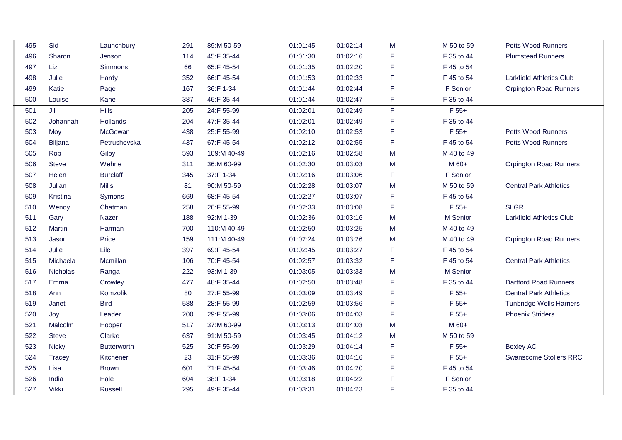| 495 | Sid             | Launchbury         | 291 | 89:M 50-59  | 01:01:45 | 01:02:14 | M           | M 50 to 59 | <b>Petts Wood Runners</b>       |
|-----|-----------------|--------------------|-----|-------------|----------|----------|-------------|------------|---------------------------------|
| 496 | Sharon          | Jenson             | 114 | 45:F 35-44  | 01:01:30 | 01:02:16 | F           | F 35 to 44 | <b>Plumstead Runners</b>        |
| 497 | Liz             | Simmons            | 66  | 65:F 45-54  | 01:01:35 | 01:02:20 | F           | F 45 to 54 |                                 |
| 498 | Julie           | Hardy              | 352 | 66:F 45-54  | 01:01:53 | 01:02:33 | F           | F 45 to 54 | <b>Larkfield Athletics Club</b> |
| 499 | Katie           | Page               | 167 | 36:F 1-34   | 01:01:44 | 01:02:44 | F           | F Senior   | <b>Orpington Road Runners</b>   |
| 500 | Louise          | Kane               | 387 | 46:F 35-44  | 01:01:44 | 01:02:47 | F           | F 35 to 44 |                                 |
| 501 | Jill            | Hills              | 205 | 24:F 55-99  | 01:02:01 | 01:02:49 | $\mathsf F$ | $F 55+$    |                                 |
| 502 | Johannah        | Hollands           | 204 | 47:F 35-44  | 01:02:01 | 01:02:49 | F           | F 35 to 44 |                                 |
| 503 | Moy             | McGowan            | 438 | 25:F 55-99  | 01:02:10 | 01:02:53 | F           | $F 55+$    | <b>Petts Wood Runners</b>       |
| 504 | Biljana         | Petrushevska       | 437 | 67:F 45-54  | 01:02:12 | 01:02:55 | F           | F 45 to 54 | Petts Wood Runners              |
| 505 | Rob             | Gilby              | 593 | 109:M 40-49 | 01:02:16 | 01:02:58 | M           | M 40 to 49 |                                 |
| 506 | <b>Steve</b>    | Wehrle             | 311 | 36:M 60-99  | 01:02:30 | 01:03:03 | M           | M 60+      | <b>Orpington Road Runners</b>   |
| 507 | Helen           | <b>Burclaff</b>    | 345 | 37:F 1-34   | 01:02:16 | 01:03:06 | F           | F Senior   |                                 |
| 508 | Julian          | <b>Mills</b>       | 81  | 90:M 50-59  | 01:02:28 | 01:03:07 | M           | M 50 to 59 | <b>Central Park Athletics</b>   |
| 509 | Kristina        | Symons             | 669 | 68:F 45-54  | 01:02:27 | 01:03:07 | F           | F 45 to 54 |                                 |
| 510 | Wendy           | Chatman            | 258 | 26:F 55-99  | 01:02:33 | 01:03:08 | F           | $F 55+$    | <b>SLGR</b>                     |
| 511 | Gary            | Nazer              | 188 | 92:M 1-39   | 01:02:36 | 01:03:16 | M           | M Senior   | <b>Larkfield Athletics Club</b> |
| 512 | Martin          | Harman             | 700 | 110:M 40-49 | 01:02:50 | 01:03:25 | M           | M 40 to 49 |                                 |
| 513 | Jason           | Price              | 159 | 111:M 40-49 | 01:02:24 | 01:03:26 | M           | M 40 to 49 | <b>Orpington Road Runners</b>   |
| 514 | Julie           | Lile               | 397 | 69:F 45-54  | 01:02:45 | 01:03:27 | F           | F 45 to 54 |                                 |
| 515 | Michaela        | Mcmillan           | 106 | 70:F 45-54  | 01:02:57 | 01:03:32 | F           | F 45 to 54 | <b>Central Park Athletics</b>   |
| 516 | <b>Nicholas</b> | Ranga              | 222 | 93:M 1-39   | 01:03:05 | 01:03:33 | M           | M Senior   |                                 |
| 517 | Emma            | Crowley            | 477 | 48:F 35-44  | 01:02:50 | 01:03:48 | F           | F 35 to 44 | <b>Dartford Road Runners</b>    |
| 518 | Ann             | Komzolik           | 80  | 27:F 55-99  | 01:03:09 | 01:03:49 | F           | $F 55+$    | <b>Central Park Athletics</b>   |
| 519 | Janet           | <b>Bird</b>        | 588 | 28:F 55-99  | 01:02:59 | 01:03:56 | F           | $F 55+$    | <b>Tunbridge Wells Harriers</b> |
| 520 | Joy             | Leader             | 200 | 29:F 55-99  | 01:03:06 | 01:04:03 | F           | $F 55+$    | <b>Phoenix Striders</b>         |
| 521 | Malcolm         | Hooper             | 517 | 37:M 60-99  | 01:03:13 | 01:04:03 | M           | M 60+      |                                 |
| 522 | <b>Steve</b>    | Clarke             | 637 | 91:M 50-59  | 01:03:45 | 01:04:12 | M           | M 50 to 59 |                                 |
| 523 | <b>Nicky</b>    | <b>Butterworth</b> | 525 | 30:F 55-99  | 01:03:29 | 01:04:14 | F           | $F 55+$    | <b>Bexley AC</b>                |
| 524 | Tracey          | Kitchener          | 23  | 31:F 55-99  | 01:03:36 | 01:04:16 | F           | F 55+      | <b>Swanscome Stollers RRC</b>   |
| 525 | Lisa            | <b>Brown</b>       | 601 | 71:F 45-54  | 01:03:46 | 01:04:20 | F           | F 45 to 54 |                                 |
| 526 | India           | Hale               | 604 | 38:F 1-34   | 01:03:18 | 01:04:22 | F           | F Senior   |                                 |
| 527 | <b>Vikki</b>    | Russell            | 295 | 49:F 35-44  | 01:03:31 | 01:04:23 | F           | F 35 to 44 |                                 |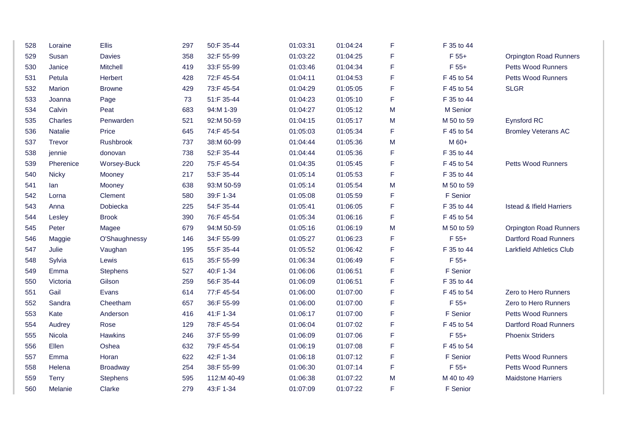| 528 | Loraine      | <b>Ellis</b>       | 297 | 50:F 35-44  | 01:03:31 | 01:04:24 | F  | F 35 to 44 |                                     |
|-----|--------------|--------------------|-----|-------------|----------|----------|----|------------|-------------------------------------|
| 529 | Susan        | <b>Davies</b>      | 358 | 32:F 55-99  | 01:03:22 | 01:04:25 | F  | $F 55+$    | <b>Orpington Road Runners</b>       |
| 530 | Janice       | Mitchell           | 419 | 33:F 55-99  | 01:03:46 | 01:04:34 | F  | $F 55+$    | Petts Wood Runners                  |
| 531 | Petula       | Herbert            | 428 | 72:F 45-54  | 01:04:11 | 01:04:53 | F  | F 45 to 54 | Petts Wood Runners                  |
| 532 | Marion       | <b>Browne</b>      | 429 | 73:F 45-54  | 01:04:29 | 01:05:05 | F  | F 45 to 54 | <b>SLGR</b>                         |
| 533 | Joanna       | Page               | 73  | 51:F 35-44  | 01:04:23 | 01:05:10 | F  | F 35 to 44 |                                     |
| 534 | Calvin       | Peat               | 683 | 94:M 1-39   | 01:04:27 | 01:05:12 | M  | M Senior   |                                     |
| 535 | Charles      | Penwarden          | 521 | 92:M 50-59  | 01:04:15 | 01:05:17 | M  | M 50 to 59 | Eynsford RC                         |
| 536 | Natalie      | Price              | 645 | 74:F 45-54  | 01:05:03 | 01:05:34 | F. | F 45 to 54 | <b>Bromley Veterans AC</b>          |
| 537 | Trevor       | Rushbrook          | 737 | 38:M 60-99  | 01:04:44 | 01:05:36 | M  | M 60+      |                                     |
| 538 | jennie       | donovan            | 738 | 52:F 35-44  | 01:04:44 | 01:05:36 | F  | F 35 to 44 |                                     |
| 539 | Pherenice    | <b>Worsey-Buck</b> | 220 | 75:F 45-54  | 01:04:35 | 01:05:45 | F  | F 45 to 54 | Petts Wood Runners                  |
| 540 | <b>Nicky</b> | Mooney             | 217 | 53:F 35-44  | 01:05:14 | 01:05:53 | F  | F 35 to 44 |                                     |
| 541 | lan          | Mooney             | 638 | 93:M 50-59  | 01:05:14 | 01:05:54 | M  | M 50 to 59 |                                     |
| 542 | Lorna        | Clement            | 580 | 39:F 1-34   | 01:05:08 | 01:05:59 | F  | F Senior   |                                     |
| 543 | Anna         | Dobiecka           | 225 | 54:F 35-44  | 01:05:41 | 01:06:05 | F. | F 35 to 44 | <b>Istead &amp; Ifield Harriers</b> |
| 544 | Lesley       | <b>Brook</b>       | 390 | 76:F 45-54  | 01:05:34 | 01:06:16 | F  | F 45 to 54 |                                     |
| 545 | Peter        | Magee              | 679 | 94:M 50-59  | 01:05:16 | 01:06:19 | M  | M 50 to 59 | <b>Orpington Road Runners</b>       |
| 546 | Maggie       | O'Shaughnessy      | 146 | 34:F 55-99  | 01:05:27 | 01:06:23 | F  | $F 55+$    | <b>Dartford Road Runners</b>        |
| 547 | Julie        | Vaughan            | 195 | 55:F 35-44  | 01:05:52 | 01:06:42 | F  | F 35 to 44 | <b>Larkfield Athletics Club</b>     |
| 548 | Sylvia       | Lewis              | 615 | 35:F 55-99  | 01:06:34 | 01:06:49 | F  | $F 55+$    |                                     |
| 549 | Emma         | <b>Stephens</b>    | 527 | 40:F 1-34   | 01:06:06 | 01:06:51 | F  | F Senior   |                                     |
| 550 | Victoria     | Gilson             | 259 | 56:F 35-44  | 01:06:09 | 01:06:51 | F  | F 35 to 44 |                                     |
| 551 | Gail         | Evans              | 614 | 77:F 45-54  | 01:06:00 | 01:07:00 | F  | F 45 to 54 | Zero to Hero Runners                |
| 552 | Sandra       | Cheetham           | 657 | 36:F 55-99  | 01:06:00 | 01:07:00 | F  | $F 55+$    | Zero to Hero Runners                |
| 553 | Kate         | Anderson           | 416 | 41:F 1-34   | 01:06:17 | 01:07:00 | F  | F Senior   | <b>Petts Wood Runners</b>           |
| 554 | Audrey       | Rose               | 129 | 78:F 45-54  | 01:06:04 | 01:07:02 | F  | F 45 to 54 | <b>Dartford Road Runners</b>        |
| 555 | Nicola       | <b>Hawkins</b>     | 246 | 37:F 55-99  | 01:06:09 | 01:07:06 | F  | $F 55+$    | <b>Phoenix Striders</b>             |
| 556 | Ellen        | Oshea              | 632 | 79:F 45-54  | 01:06:19 | 01:07:08 | F  | F 45 to 54 |                                     |
| 557 | Emma         | Horan              | 622 | 42:F 1-34   | 01:06:18 | 01:07:12 | F  | F Senior   | Petts Wood Runners                  |
| 558 | Helena       | Broadway           | 254 | 38:F 55-99  | 01:06:30 | 01:07:14 | F  | $F 55+$    | Petts Wood Runners                  |
| 559 | <b>Terry</b> | <b>Stephens</b>    | 595 | 112:M 40-49 | 01:06:38 | 01:07:22 | M  | M 40 to 49 | <b>Maidstone Harriers</b>           |
| 560 | Melanie      | Clarke             | 279 | 43:F 1-34   | 01:07:09 | 01:07:22 | F  | F Senior   |                                     |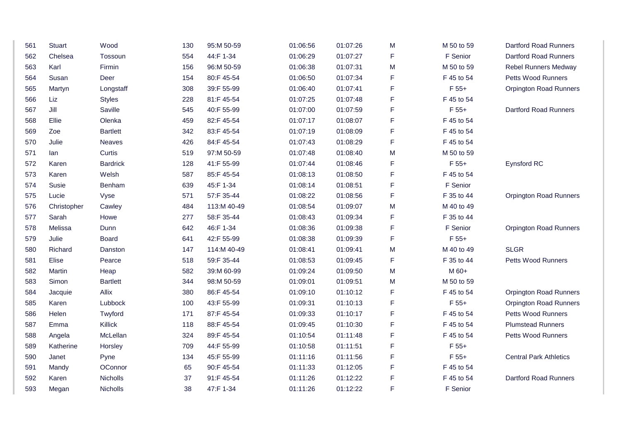| 561 | <b>Stuart</b> | Wood            | 130 | 95:M 50-59  | 01:06:56 | 01:07:26 | M           | M 50 to 59 | <b>Dartford Road Runners</b>  |
|-----|---------------|-----------------|-----|-------------|----------|----------|-------------|------------|-------------------------------|
| 562 | Chelsea       | Tossoun         | 554 | 44:F 1-34   | 01:06:29 | 01:07:27 | $\mathsf F$ | F Senior   | <b>Dartford Road Runners</b>  |
| 563 | Karl          | Firmin          | 156 | 96:M 50-59  | 01:06:38 | 01:07:31 | M           | M 50 to 59 | <b>Rebel Runners Medway</b>   |
| 564 | Susan         | Deer            | 154 | 80:F 45-54  | 01:06:50 | 01:07:34 | F           | F 45 to 54 | Petts Wood Runners            |
| 565 | Martyn        | Longstaff       | 308 | 39:F 55-99  | 01:06:40 | 01:07:41 | $\mathsf F$ | $F 55+$    | <b>Orpington Road Runners</b> |
| 566 | Liz           | <b>Styles</b>   | 228 | 81:F 45-54  | 01:07:25 | 01:07:48 | $\mathsf F$ | F 45 to 54 |                               |
| 567 | Jill          | Saville         | 545 | 40:F 55-99  | 01:07:00 | 01:07:59 | $\mathsf F$ | $F 55+$    | <b>Dartford Road Runners</b>  |
| 568 | Ellie         | Olenka          | 459 | 82:F 45-54  | 01:07:17 | 01:08:07 | $\mathsf F$ | F 45 to 54 |                               |
| 569 | Zoe           | <b>Bartlett</b> | 342 | 83:F 45-54  | 01:07:19 | 01:08:09 | $\mathsf F$ | F 45 to 54 |                               |
| 570 | Julie         | <b>Neaves</b>   | 426 | 84:F 45-54  | 01:07:43 | 01:08:29 | $\mathsf F$ | F 45 to 54 |                               |
| 571 | lan           | Curtis          | 519 | 97:M 50-59  | 01:07:48 | 01:08:40 | M           | M 50 to 59 |                               |
| 572 | Karen         | <b>Bardrick</b> | 128 | 41:F 55-99  | 01:07:44 | 01:08:46 | F           | $F 55+$    | Eynsford RC                   |
| 573 | Karen         | Welsh           | 587 | 85:F 45-54  | 01:08:13 | 01:08:50 | $\mathsf F$ | F 45 to 54 |                               |
| 574 | <b>Susie</b>  | Benham          | 639 | 45:F 1-34   | 01:08:14 | 01:08:51 | $\mathsf F$ | F Senior   |                               |
| 575 | Lucie         | Vyse            | 571 | 57:F 35-44  | 01:08:22 | 01:08:56 | $\mathsf F$ | F 35 to 44 | <b>Orpington Road Runners</b> |
| 576 | Christopher   | Cawley          | 484 | 113:M 40-49 | 01:08:54 | 01:09:07 | M           | M 40 to 49 |                               |
| 577 | Sarah         | Howe            | 277 | 58:F 35-44  | 01:08:43 | 01:09:34 | F           | F 35 to 44 |                               |
| 578 | Melissa       | Dunn            | 642 | 46:F 1-34   | 01:08:36 | 01:09:38 | $\mathsf F$ | F Senior   | <b>Orpington Road Runners</b> |
| 579 | Julie         | <b>Board</b>    | 641 | 42:F 55-99  | 01:08:38 | 01:09:39 | $\mathsf F$ | $F 55+$    |                               |
| 580 | Richard       | Danston         | 147 | 114:M 40-49 | 01:08:41 | 01:09:41 | M           | M 40 to 49 | <b>SLGR</b>                   |
| 581 | Elise         | Pearce          | 518 | 59:F 35-44  | 01:08:53 | 01:09:45 | $\mathsf F$ | F 35 to 44 | <b>Petts Wood Runners</b>     |
| 582 | Martin        | Heap            | 582 | 39:M 60-99  | 01:09:24 | 01:09:50 | M           | M 60+      |                               |
| 583 | Simon         | <b>Bartlett</b> | 344 | 98:M 50-59  | 01:09:01 | 01:09:51 | M           | M 50 to 59 |                               |
| 584 | Jacquie       | Allix           | 380 | 86:F 45-54  | 01:09:10 | 01:10:12 | F           | F 45 to 54 | <b>Orpington Road Runners</b> |
| 585 | Karen         | Lubbock         | 100 | 43:F 55-99  | 01:09:31 | 01:10:13 | $\mathsf F$ | $F 55+$    | <b>Orpington Road Runners</b> |
| 586 | Helen         | Twyford         | 171 | 87:F 45-54  | 01:09:33 | 01:10:17 | $\mathsf F$ | F 45 to 54 | Petts Wood Runners            |
| 587 | Emma          | Killick         | 118 | 88:F 45-54  | 01:09:45 | 01:10:30 | $\mathsf F$ | F 45 to 54 | <b>Plumstead Runners</b>      |
| 588 | Angela        | McLellan        | 324 | 89:F 45-54  | 01:10:54 | 01:11:48 | F           | F 45 to 54 | Petts Wood Runners            |
| 589 | Katherine     | Horsley         | 709 | 44:F 55-99  | 01:10:58 | 01:11:51 | F           | F 55+      |                               |
| 590 | Janet         | Pyne            | 134 | 45:F 55-99  | 01:11:16 | 01:11:56 | $\mathsf F$ | $F 55+$    | <b>Central Park Athletics</b> |
| 591 | Mandy         | OConnor         | 65  | 90:F 45-54  | 01:11:33 | 01:12:05 | F           | F 45 to 54 |                               |
| 592 | Karen         | Nicholls        | 37  | 91:F 45-54  | 01:11:26 | 01:12:22 | F           | F 45 to 54 | <b>Dartford Road Runners</b>  |
| 593 | Megan         | <b>Nicholls</b> | 38  | 47:F 1-34   | 01:11:26 | 01:12:22 | $\mathsf F$ | F Senior   |                               |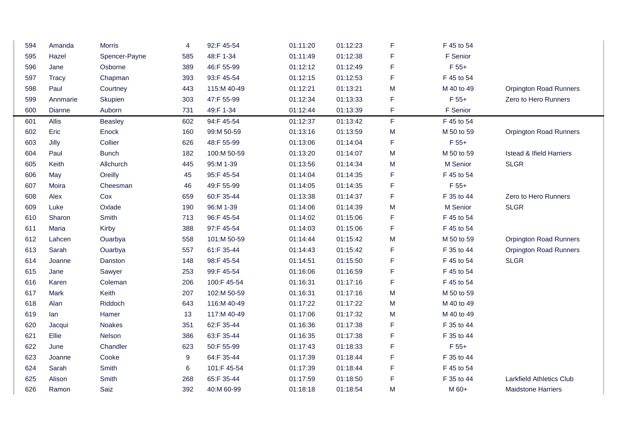| 594 | Amanda       | <b>Morris</b>  | $\overline{4}$ | 92:F 45-54  | 01:11:20 | 01:12:23 | F | F 45 to 54 |                                     |
|-----|--------------|----------------|----------------|-------------|----------|----------|---|------------|-------------------------------------|
| 595 | Hazel        | Spencer-Payne  | 585            | 48:F 1-34   | 01:11:49 | 01:12:38 | F | F Senior   |                                     |
| 596 | Jane         | Osborne        | 389            | 46:F 55-99  | 01:12:12 | 01:12:49 | F | $F 55+$    |                                     |
| 597 | <b>Tracy</b> | Chapman        | 393            | 93:F 45-54  | 01:12:15 | 01:12:53 | F | F 45 to 54 |                                     |
| 598 | Paul         | Courtney       | 443            | 115:M 40-49 | 01:12:21 | 01:13:21 | M | M 40 to 49 | <b>Orpington Road Runners</b>       |
| 599 | Annmarie     | Skupien        | 303            | 47:F 55-99  | 01:12:34 | 01:13:33 | F | $F 55+$    | Zero to Hero Runners                |
| 600 | Dianne       | Auborn         | 731            | 49:F 1-34   | 01:12:44 | 01:13:39 | F | F Senior   |                                     |
| 601 | Allis        | <b>Beasley</b> | 602            | 94:F 45-54  | 01:12:37 | 01:13:42 | F | F 45 to 54 |                                     |
| 602 | Eric         | Enock          | 160            | 99:M 50-59  | 01:13:16 | 01:13:59 | M | M 50 to 59 | <b>Orpington Road Runners</b>       |
| 603 | Jilly        | Collier        | 626            | 48:F 55-99  | 01:13:06 | 01:14:04 | F | $F 55+$    |                                     |
| 604 | Paul         | <b>Bunch</b>   | 182            | 100:M 50-59 | 01:13:20 | 01:14:07 | M | M 50 to 59 | <b>Istead &amp; Ifield Harriers</b> |
| 605 | Keith        | Allchurch      | 445            | 95:M 1-39   | 01:13:56 | 01:14:34 | M | M Senior   | <b>SLGR</b>                         |
| 606 | May          | Oreilly        | 45             | 95:F 45-54  | 01:14:04 | 01:14:35 | F | F 45 to 54 |                                     |
| 607 | Moira        | Cheesman       | 46             | 49:F 55-99  | 01:14:05 | 01:14:35 | F | $F 55+$    |                                     |
| 608 | Alex         | Cox            | 659            | 60:F 35-44  | 01:13:38 | 01:14:37 | F | F 35 to 44 | Zero to Hero Runners                |
| 609 | Luke         | Oxlade         | 190            | 96:M 1-39   | 01:14:06 | 01:14:39 | M | M Senior   | <b>SLGR</b>                         |
| 610 | Sharon       | Smith          | 713            | 96:F 45-54  | 01:14:02 | 01:15:06 | F | F 45 to 54 |                                     |
| 611 | Maria        | Kirby          | 388            | 97:F 45-54  | 01:14:03 | 01:15:06 | F | F 45 to 54 |                                     |
| 612 | Lahcen       | Ouarbya        | 558            | 101:M 50-59 | 01:14:44 | 01:15:42 | M | M 50 to 59 | <b>Orpington Road Runners</b>       |
| 613 | Sarah        | Ouarbya        | 557            | 61:F 35-44  | 01:14:43 | 01:15:42 | F | F 35 to 44 | <b>Orpington Road Runners</b>       |
| 614 | Joanne       | Danston        | 148            | 98:F 45-54  | 01:14:51 | 01:15:50 | F | F 45 to 54 | <b>SLGR</b>                         |
| 615 | Jane         | Sawyer         | 253            | 99:F 45-54  | 01:16:06 | 01:16:59 | F | F 45 to 54 |                                     |
| 616 | Karen        | Coleman        | 206            | 100:F 45-54 | 01:16:31 | 01:17:16 | F | F 45 to 54 |                                     |
| 617 | Mark         | Keith          | 207            | 102:M 50-59 | 01:16:31 | 01:17:16 | M | M 50 to 59 |                                     |
| 618 | Alan         | Riddoch        | 643            | 116:M 40-49 | 01:17:22 | 01:17:22 | M | M 40 to 49 |                                     |
| 619 | lan          | Hamer          | 13             | 117:M 40-49 | 01:17:06 | 01:17:32 | M | M 40 to 49 |                                     |
| 620 | Jacqui       | Noakes         | 351            | 62:F 35-44  | 01:16:36 | 01:17:38 | F | F 35 to 44 |                                     |
| 621 | Ellie        | Nelson         | 386            | 63:F 35-44  | 01:16:35 | 01:17:38 | F | F 35 to 44 |                                     |
| 622 | June         | Chandler       | 623            | 50:F 55-99  | 01:17:43 | 01:18:33 | F | $F 55+$    |                                     |
| 623 | Joanne       | Cooke          | 9              | 64:F 35-44  | 01:17:39 | 01:18:44 | F | F 35 to 44 |                                     |
| 624 | Sarah        | Smith          | 6              | 101:F 45-54 | 01:17:39 | 01:18:44 | F | F 45 to 54 |                                     |
| 625 | Alison       | Smith          | 268            | 65:F 35-44  | 01:17:59 | 01:18:50 | F | F 35 to 44 | <b>Larkfield Athletics Club</b>     |
| 626 | Ramon        | Saiz           | 392            | 40:M 60-99  | 01:18:18 | 01:18:54 | M | M 60+      | <b>Maidstone Harriers</b>           |